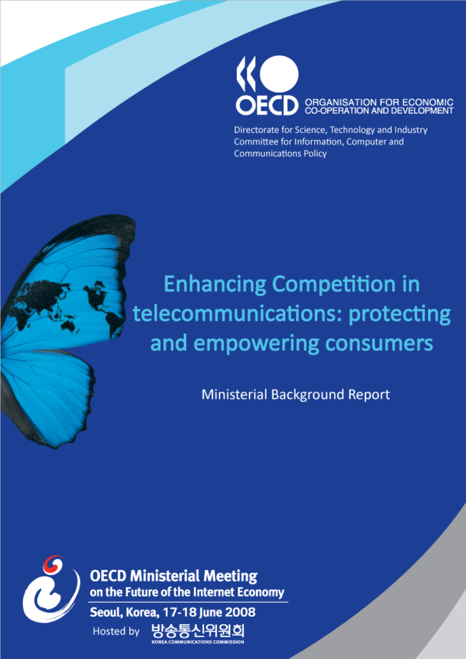

Directorate for Science, Technology and Industry Committee for Information, Computer and **Communications Policy** 

# **Enhancing Competition in** telecommunications: protecting and empowering consumers

**Ministerial Background Report** 



**OECD Ministerial Meeting** on the Future of the Internet Economy

Seoul, Korea, 17-18 June 2008 **Hosted by OMMUNICATIONS COMMISSION**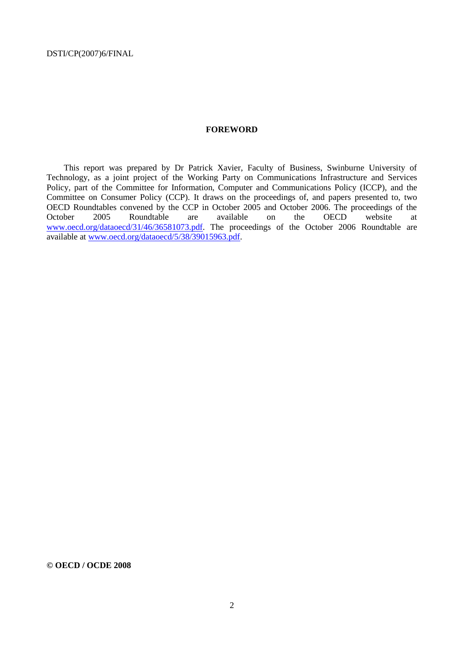## **FOREWORD**

This report was prepared by Dr Patrick Xavier, Faculty of Business, Swinburne University of Technology, as a joint project of the Working Party on Communications Infrastructure and Services Policy, part of the [Committee for Information, Computer and Communications Policy \(ICCP\),](http://www.oecd.org/dataoecd/18/39/37328586.pdf) and the [Committee on Consumer Policy \(CCP\). I](http://www.oecd.org/dataoecd/18/39/37328586.pdf)t draws on the proceedings of, and papers presented to, two OECD Roundtables convened by the CCP in October 2005 and October 2006. The proceedings of the October 2005 Roundtable are available on the OECD website at [www.oecd.org/dataoecd/31/46/36581073.pdf.](http://www.oecd.org/dataoecd/31/46/36581073.pdf) The proceedings of the October 2006 Roundtable are available at [www.oecd.org/dataoecd/5/38/39015963.pdf.](http://www.oecd.org/dataoecd/5/38/39015963.pdf)

**© OECD / OCDE 2008**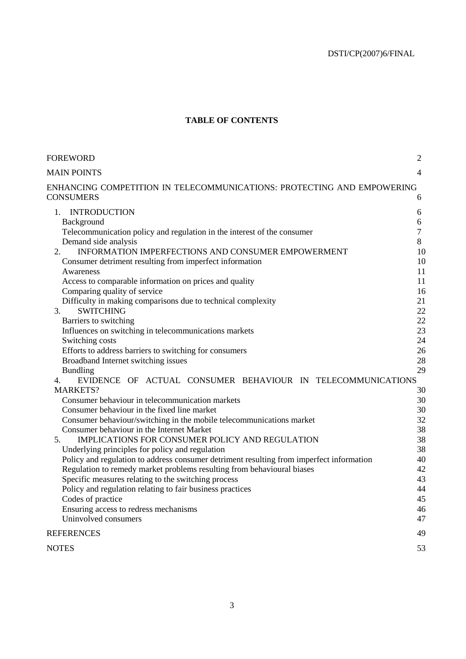# **TABLE OF CONTENTS**

| FOREWORD                                                                                 | $\overline{2}$ |
|------------------------------------------------------------------------------------------|----------------|
| <b>MAIN POINTS</b>                                                                       | $\overline{4}$ |
| ENHANCING COMPETITION IN TELECOMMUNICATIONS: PROTECTING AND EMPOWERING                   |                |
| CONSUMERS                                                                                | 6              |
| <b>INTRODUCTION</b><br>1.                                                                | 6              |
| Background                                                                               | 6              |
| Telecommunication policy and regulation in the interest of the consumer                  | $\tau$         |
| Demand side analysis                                                                     | 8              |
| INFORMATION IMPERFECTIONS AND CONSUMER EMPOWERMENT<br>2.                                 | 10             |
| Consumer detriment resulting from imperfect information                                  | 10             |
| Awareness                                                                                | 11             |
| Access to comparable information on prices and quality                                   | 11             |
| Comparing quality of service                                                             | 16             |
| Difficulty in making comparisons due to technical complexity                             | 21             |
| <b>SWITCHING</b><br>3.                                                                   | 22             |
| Barriers to switching                                                                    | 22             |
| Influences on switching in telecommunications markets                                    | 23             |
| Switching costs                                                                          | 24             |
| Efforts to address barriers to switching for consumers                                   | 26             |
| Broadband Internet switching issues                                                      | 28<br>29       |
| <b>Bundling</b><br>EVIDENCE OF ACTUAL CONSUMER BEHAVIOUR IN TELECOMMUNICATIONS           |                |
| 4.<br><b>MARKETS?</b>                                                                    | 30             |
| Consumer behaviour in telecommunication markets                                          | 30             |
| Consumer behaviour in the fixed line market                                              | 30             |
| Consumer behaviour/switching in the mobile telecommunications market                     | 32             |
| Consumer behaviour in the Internet Market                                                | 38             |
| IMPLICATIONS FOR CONSUMER POLICY AND REGULATION<br>5.                                    | 38             |
| Underlying principles for policy and regulation                                          | 38             |
| Policy and regulation to address consumer detriment resulting from imperfect information | 40             |
| Regulation to remedy market problems resulting from behavioural biases                   | 42             |
| Specific measures relating to the switching process                                      | 43             |
| Policy and regulation relating to fair business practices                                | 44             |
| Codes of practice                                                                        | 45             |
| Ensuring access to redress mechanisms                                                    | 46             |
| Uninvolved consumers                                                                     | 47             |
| <b>REFERENCES</b>                                                                        | 49             |
| <b>NOTES</b>                                                                             | 53             |
|                                                                                          |                |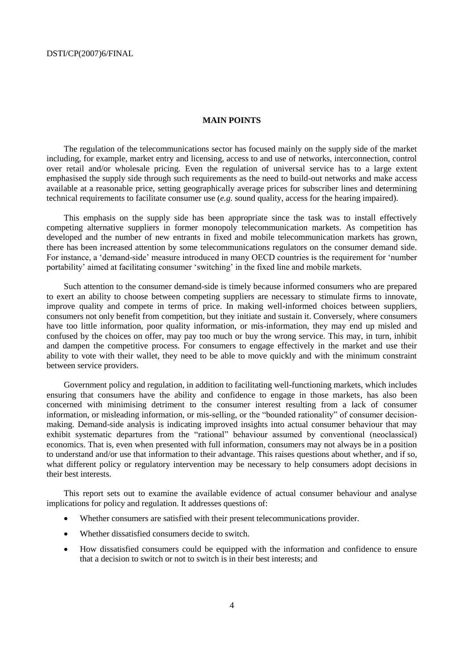# **MAIN POINTS**

The regulation of the telecommunications sector has focused mainly on the supply side of the market including, for example, market entry and licensing, access to and use of networks, interconnection, control over retail and/or wholesale pricing. Even the regulation of universal service has to a large extent emphasised the supply side through such requirements as the need to build-out networks and make access available at a reasonable price, setting geographically average prices for subscriber lines and determining technical requirements to facilitate consumer use (*e.g.* sound quality, access for the hearing impaired).

This emphasis on the supply side has been appropriate since the task was to install effectively competing alternative suppliers in former monopoly telecommunication markets. As competition has developed and the number of new entrants in fixed and mobile telecommunication markets has grown, there has been increased attention by some telecommunications regulators on the consumer demand side. For instance, a 'demand-side' measure introduced in many OECD countries is the requirement for 'number portability' aimed at facilitating consumer 'switching' in the fixed line and mobile markets.

Such attention to the consumer demand-side is timely because informed consumers who are prepared to exert an ability to choose between competing suppliers are necessary to stimulate firms to innovate, improve quality and compete in terms of price. In making well-informed choices between suppliers, consumers not only benefit from competition, but they initiate and sustain it. Conversely, where consumers have too little information, poor quality information, or mis-information, they may end up misled and confused by the choices on offer, may pay too much or buy the wrong service. This may, in turn, inhibit and dampen the competitive process. For consumers to engage effectively in the market and use their ability to vote with their wallet, they need to be able to move quickly and with the minimum constraint between service providers.

Government policy and regulation, in addition to facilitating well-functioning markets, which includes ensuring that consumers have the ability and confidence to engage in those markets, has also been concerned with minimising detriment to the consumer interest resulting from a lack of consumer information, or misleading information, or mis-selling, or the "bounded rationality" of consumer decisionmaking. Demand-side analysis is indicating improved insights into actual consumer behaviour that may exhibit systematic departures from the "rational" behaviour assumed by conventional (neoclassical) economics. That is, even when presented with full information, consumers may not always be in a position to understand and/or use that information to their advantage. This raises questions about whether, and if so, what different policy or regulatory intervention may be necessary to help consumers adopt decisions in their best interests.

This report sets out to examine the available evidence of actual consumer behaviour and analyse implications for policy and regulation. It addresses questions of:

- Whether consumers are satisfied with their present telecommunications provider.
- Whether dissatisfied consumers decide to switch.
- How dissatisfied consumers could be equipped with the information and confidence to ensure that a decision to switch or not to switch is in their best interests; and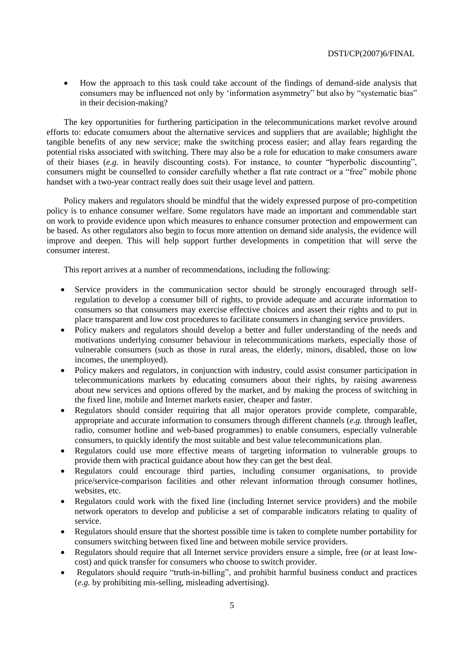How the approach to this task could take account of the findings of demand-side analysis that consumers may be influenced not only by 'information asymmetry" but also by "systematic bias" in their decision-making?

The key opportunities for furthering participation in the telecommunications market revolve around efforts to: educate consumers about the alternative services and suppliers that are available; highlight the tangible benefits of any new service; make the switching process easier; and allay fears regarding the potential risks associated with switching. There may also be a role for education to make consumers aware of their biases (*e.g.* in heavily discounting costs). For instance, to counter "hyperbolic discounting", consumers might be counselled to consider carefully whether a flat rate contract or a "free" mobile phone handset with a two-year contract really does suit their usage level and pattern.

Policy makers and regulators should be mindful that the widely expressed purpose of pro-competition policy is to enhance consumer welfare. Some regulators have made an important and commendable start on work to provide evidence upon which measures to enhance consumer protection and empowerment can be based. As other regulators also begin to focus more attention on demand side analysis, the evidence will improve and deepen. This will help support further developments in competition that will serve the consumer interest.

This report arrives at a number of recommendations, including the following:

- Service providers in the communication sector should be strongly encouraged through selfregulation to develop a consumer bill of rights, to provide adequate and accurate information to consumers so that consumers may exercise effective choices and assert their rights and to put in place transparent and low cost procedures to facilitate consumers in changing service providers.
- Policy makers and regulators should develop a better and fuller understanding of the needs and motivations underlying consumer behaviour in telecommunications markets, especially those of vulnerable consumers (such as those in rural areas, the elderly, minors, disabled, those on low incomes, the unemployed).
- Policy makers and regulators, in conjunction with industry, could assist consumer participation in telecommunications markets by educating consumers about their rights, by raising awareness about new services and options offered by the market, and by making the process of switching in the fixed line, mobile and Internet markets easier, cheaper and faster.
- Regulators should consider requiring that all major operators provide complete, comparable, appropriate and accurate information to consumers through different channels (*e.g.* through leaflet, radio, consumer hotline and web-based programmes) to enable consumers, especially vulnerable consumers, to quickly identify the most suitable and best value telecommunications plan.
- Regulators could use more effective means of targeting information to vulnerable groups to provide them with practical guidance about how they can get the best deal.
- Regulators could encourage third parties, including consumer organisations, to provide price/service-comparison facilities and other relevant information through consumer hotlines, websites, etc.
- Regulators could work with the fixed line (including Internet service providers) and the mobile network operators to develop and publicise a set of comparable indicators relating to quality of service.
- Regulators should ensure that the shortest possible time is taken to complete number portability for consumers switching between fixed line and between mobile service providers.
- Regulators should require that all Internet service providers ensure a simple, free (or at least lowcost) and quick transfer for consumers who choose to switch provider.
- Regulators should require "truth-in-billing", and prohibit harmful business conduct and practices (*e.g.* by prohibiting mis-selling, misleading advertising).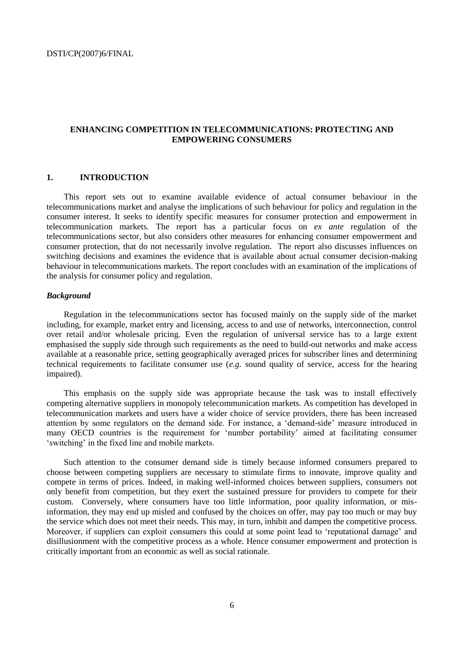# **ENHANCING COMPETITION IN TELECOMMUNICATIONS: PROTECTING AND EMPOWERING CONSUMERS**

# **1. INTRODUCTION**

This report sets out to examine available evidence of actual consumer behaviour in the telecommunications market and analyse the implications of such behaviour for policy and regulation in the consumer interest. It seeks to identify specific measures for consumer protection and empowerment in telecommunication markets. The report has a particular focus on *ex ante* regulation of the telecommunications sector, but also considers other measures for enhancing consumer empowerment and consumer protection, that do not necessarily involve regulation. The report also discusses influences on switching decisions and examines the evidence that is available about actual consumer decision-making behaviour in telecommunications markets. The report concludes with an examination of the implications of the analysis for consumer policy and regulation.

# *Background*

Regulation in the telecommunications sector has focused mainly on the supply side of the market including, for example, market entry and licensing, access to and use of networks, interconnection, control over retail and/or wholesale pricing. Even the regulation of universal service has to a large extent emphasised the supply side through such requirements as the need to build-out networks and make access available at a reasonable price, setting geographically averaged prices for subscriber lines and determining technical requirements to facilitate consumer use (*e.g.* sound quality of service, access for the hearing impaired).

This emphasis on the supply side was appropriate because the task was to install effectively competing alternative suppliers in monopoly telecommunication markets. As competition has developed in telecommunication markets and users have a wider choice of service providers, there has been increased attention by some regulators on the demand side. For instance, a 'demand-side' measure introduced in many OECD countries is the requirement for 'number portability' aimed at facilitating consumer ‗switching' in the fixed line and mobile markets.

Such attention to the consumer demand side is timely because informed consumers prepared to choose between competing suppliers are necessary to stimulate firms to innovate, improve quality and compete in terms of prices. Indeed, in making well-informed choices between suppliers, consumers not only benefit from competition, but they exert the sustained pressure for providers to compete for their custom. Conversely, where consumers have too little information, poor quality information, or misinformation, they may end up misled and confused by the choices on offer, may pay too much or may buy the service which does not meet their needs. This may, in turn, inhibit and dampen the competitive process. Moreover, if suppliers can exploit consumers this could at some point lead to 'reputational damage' and disillusionment with the competitive process as a whole. Hence consumer empowerment and protection is critically important from an economic as well as social rationale.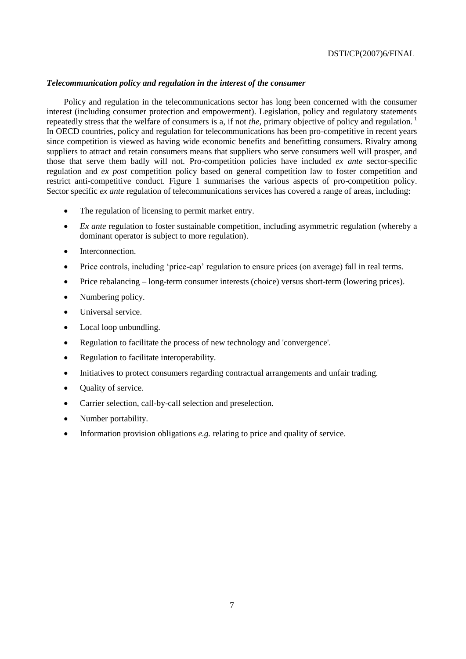# *Telecommunication policy and regulation in the interest of the consumer*

Policy and regulation in the telecommunications sector has long been concerned with the consumer interest (including consumer protection and empowerment). Legislation, policy and regulatory statements repeatedly stress that the welfare of consumers is a, if not *the*, primary objective of policy and regulation.<sup>1</sup> In OECD countries, policy and regulation for telecommunications has been pro-competitive in recent years since competition is viewed as having wide economic benefits and benefitting consumers. Rivalry among suppliers to attract and retain consumers means that suppliers who serve consumers well will prosper, and those that serve them badly will not. Pro-competition policies have included *ex ante* sector-specific regulation and *ex post* competition policy based on general competition law to foster competition and restrict anti-competitive conduct. Figure 1 summarises the various aspects of pro-competition policy. Sector specific *ex ante* regulation of telecommunications services has covered a range of areas, including:

- The regulation of licensing to permit market entry.
- *Ex ante* regulation to foster sustainable competition, including asymmetric regulation (whereby a dominant operator is subject to more regulation).
- Interconnection.
- Price controls, including 'price-cap' regulation to ensure prices (on average) fall in real terms.
- Price rebalancing long-term consumer interests (choice) versus short-term (lowering prices).
- Numbering policy.
- Universal service.
- Local loop unbundling.
- Regulation to facilitate the process of new technology and 'convergence'.
- Regulation to facilitate interoperability.
- Initiatives to protect consumers regarding contractual arrangements and unfair trading.
- Quality of service.
- Carrier selection, call-by-call selection and preselection.
- Number portability.
- Information provision obligations *e.g.* relating to price and quality of service.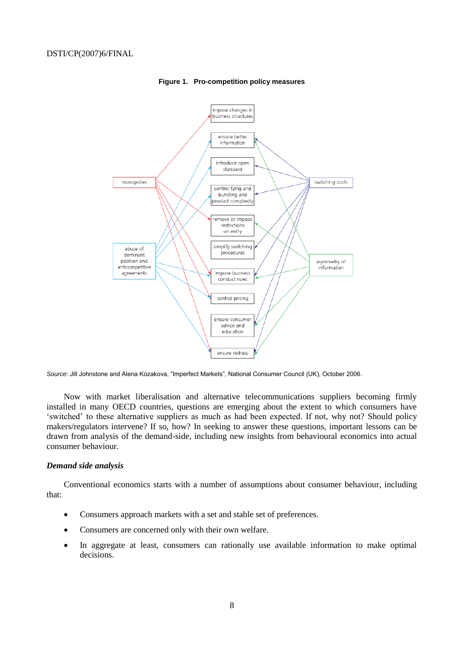

#### **Figure 1. Pro-competition policy measures**

*Source*: Jill Johnstone and Alena Kozakova, "Imperfect Markets", National Consumer Council (UK), October 2006.

Now with market liberalisation and alternative telecommunications suppliers becoming firmly installed in many OECD countries, questions are emerging about the extent to which consumers have ‗switched' to these alternative suppliers as much as had been expected. If not, why not? Should policy makers/regulators intervene? If so, how? In seeking to answer these questions, important lessons can be drawn from analysis of the demand-side, including new insights from behavioural economics into actual consumer behaviour.

# *Demand side analysis*

Conventional economics starts with a number of assumptions about consumer behaviour, including that:

- Consumers approach markets with a set and stable set of preferences.
- Consumers are concerned only with their own welfare.
- In aggregate at least, consumers can rationally use available information to make optimal decisions.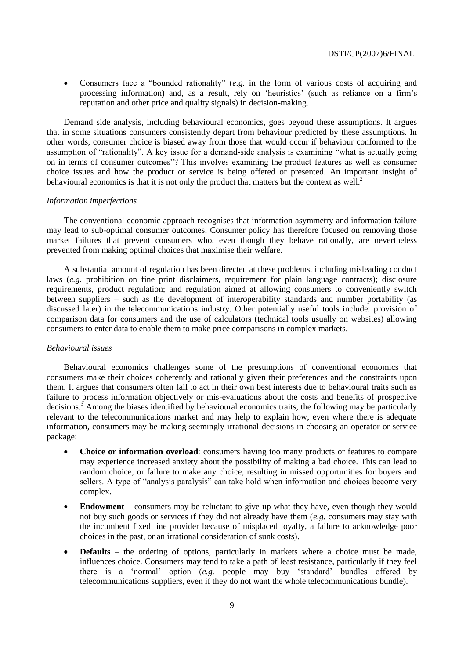• Consumers face a "bounded rationality" (*e.g.* in the form of various costs of acquiring and processing information) and, as a result, rely on 'heuristics' (such as reliance on a firm's reputation and other price and quality signals) in decision-making.

Demand side analysis, including behavioural economics, goes beyond these assumptions. It argues that in some situations consumers consistently depart from behaviour predicted by these assumptions. In other words, consumer choice is biased away from those that would occur if behaviour conformed to the assumption of "rationality". A key issue for a demand-side analysis is examining "what is actually going on in terms of consumer outcomes"? This involves examining the product features as well as consumer choice issues and how the product or service is being offered or presented. An important insight of behavioural economics is that it is not only the product that matters but the context as well.<sup>2</sup>

# *Information imperfections*

The conventional economic approach recognises that information asymmetry and information failure may lead to sub-optimal consumer outcomes. Consumer policy has therefore focused on removing those market failures that prevent consumers who, even though they behave rationally, are nevertheless prevented from making optimal choices that maximise their welfare.

A substantial amount of regulation has been directed at these problems, including misleading conduct laws (*e.g.* prohibition on fine print disclaimers, requirement for plain language contracts); disclosure requirements, product regulation; and regulation aimed at allowing consumers to conveniently switch between suppliers – such as the development of interoperability standards and number portability (as discussed later) in the telecommunications industry. Other potentially useful tools include: provision of comparison data for consumers and the use of calculators (technical tools usually on websites) allowing consumers to enter data to enable them to make price comparisons in complex markets.

# *Behavioural issues*

Behavioural economics challenges some of the presumptions of conventional economics that consumers make their choices coherently and rationally given their preferences and the constraints upon them. It argues that consumers often fail to act in their own best interests due to behavioural traits such as failure to process information objectively or mis-evaluations about the costs and benefits of prospective decisions.<sup>3</sup> Among the biases identified by behavioural economics traits, the following may be particularly relevant to the telecommunications market and may help to explain how, even where there is adequate information, consumers may be making seemingly irrational decisions in choosing an operator or service package:

- **Choice or information overload**: consumers having too many products or features to compare may experience increased anxiety about the possibility of making a bad choice. This can lead to random choice, or failure to make any choice, resulting in missed opportunities for buyers and sellers. A type of "analysis paralysis" can take hold when information and choices become very complex.
- **Endowment** consumers may be reluctant to give up what they have, even though they would not buy such goods or services if they did not already have them (*e.g.* consumers may stay with the incumbent fixed line provider because of misplaced loyalty, a failure to acknowledge poor choices in the past, or an irrational consideration of sunk costs).
- **Defaults**  the ordering of options, particularly in markets where a choice must be made, influences choice. Consumers may tend to take a path of least resistance, particularly if they feel there is a 'normal' option (*e.g.* people may buy 'standard' bundles offered by telecommunications suppliers, even if they do not want the whole telecommunications bundle).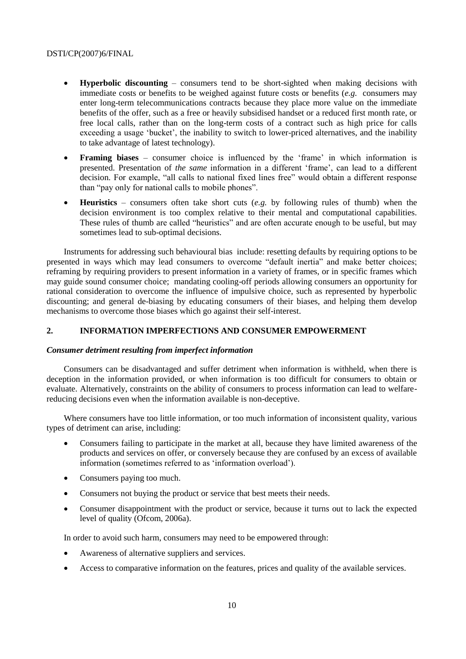- **Hyperbolic discounting** consumers tend to be short-sighted when making decisions with immediate costs or benefits to be weighed against future costs or benefits (*e.g.* consumers may enter long-term telecommunications contracts because they place more value on the immediate benefits of the offer, such as a free or heavily subsidised handset or a reduced first month rate, or free local calls, rather than on the long-term costs of a contract such as high price for calls exceeding a usage 'bucket', the inability to switch to lower-priced alternatives, and the inability to take advantage of latest technology).
- **Framing biases** consumer choice is influenced by the 'frame' in which information is presented. Presentation of *the same* information in a different 'frame', can lead to a different decision. For example, "all calls to national fixed lines free" would obtain a different response than "pay only for national calls to mobile phones".
- **Heuristics** consumers often take short cuts (*e.g.* by following rules of thumb) when the decision environment is too complex relative to their mental and computational capabilities. These rules of thumb are called "heuristics" and are often accurate enough to be useful, but may sometimes lead to sub-optimal decisions.

Instruments for addressing such behavioural bias include: resetting defaults by requiring options to be presented in ways which may lead consumers to overcome "default inertia" and make better choices; reframing by requiring providers to present information in a variety of frames, or in specific frames which may guide sound consumer choice; mandating cooling-off periods allowing consumers an opportunity for rational consideration to overcome the influence of impulsive choice, such as represented by hyperbolic discounting; and general de-biasing by educating consumers of their biases, and helping them develop mechanisms to overcome those biases which go against their self-interest.

# **2. INFORMATION IMPERFECTIONS AND CONSUMER EMPOWERMENT**

# *Consumer detriment resulting from imperfect information*

Consumers can be disadvantaged and suffer detriment when information is withheld, when there is deception in the information provided, or when information is too difficult for consumers to obtain or evaluate. Alternatively, constraints on the ability of consumers to process information can lead to welfarereducing decisions even when the information available is non-deceptive.

Where consumers have too little information, or too much information of inconsistent quality, various types of detriment can arise, including:

- Consumers failing to participate in the market at all, because they have limited awareness of the products and services on offer, or conversely because they are confused by an excess of available information (sometimes referred to as 'information overload').
- Consumers paying too much.
- Consumers not buying the product or service that best meets their needs.
- Consumer disappointment with the product or service, because it turns out to lack the expected level of quality (Ofcom, 2006a).

In order to avoid such harm, consumers may need to be empowered through:

- Awareness of alternative suppliers and services.
- Access to comparative information on the features, prices and quality of the available services.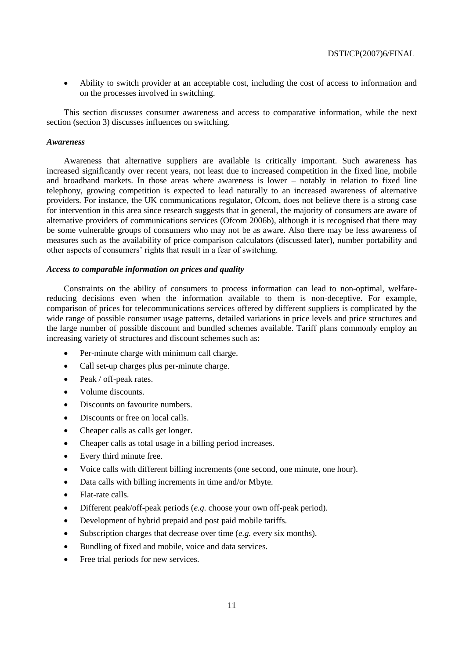Ability to switch provider at an acceptable cost, including the cost of access to information and on the processes involved in switching.

This section discusses consumer awareness and access to comparative information, while the next section (section 3) discusses influences on switching.

# *Awareness*

Awareness that alternative suppliers are available is critically important. Such awareness has increased significantly over recent years, not least due to increased competition in the fixed line, mobile and broadband markets. In those areas where awareness is lower – notably in relation to fixed line telephony, growing competition is expected to lead naturally to an increased awareness of alternative providers. For instance, the UK communications regulator, Ofcom, does not believe there is a strong case for intervention in this area since research suggests that in general, the majority of consumers are aware of alternative providers of communications services (Ofcom 2006b), although it is recognised that there may be some vulnerable groups of consumers who may not be as aware. Also there may be less awareness of measures such as the availability of price comparison calculators (discussed later), number portability and other aspects of consumers' rights that result in a fear of switching.

# *Access to comparable information on prices and quality*

Constraints on the ability of consumers to process information can lead to non-optimal, welfarereducing decisions even when the information available to them is non-deceptive. For example, comparison of prices for telecommunications services offered by different suppliers is complicated by the wide range of possible consumer usage patterns, detailed variations in price levels and price structures and the large number of possible discount and bundled schemes available. Tariff plans commonly employ an increasing variety of structures and discount schemes such as:

- Per-minute charge with minimum call charge.
- Call set-up charges plus per-minute charge.
- Peak / off-peak rates.
- Volume discounts.
- Discounts on favourite numbers.
- Discounts or free on local calls.
- Cheaper calls as calls get longer.
- Cheaper calls as total usage in a billing period increases.
- Every third minute free.
- Voice calls with different billing increments (one second, one minute, one hour).
- Data calls with billing increments in time and/or Mbyte.
- Flat-rate calls.
- Different peak/off-peak periods (*e.g.* choose your own off-peak period).
- Development of hybrid prepaid and post paid mobile tariffs.
- Subscription charges that decrease over time (*e.g.* every six months).
- Bundling of fixed and mobile, voice and data services.
- Free trial periods for new services.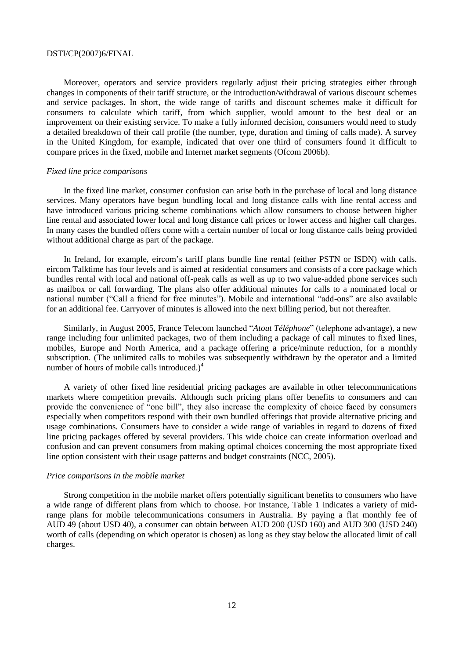Moreover, operators and service providers regularly adjust their pricing strategies either through changes in components of their tariff structure, or the introduction/withdrawal of various discount schemes and service packages. In short, the wide range of tariffs and discount schemes make it difficult for consumers to calculate which tariff, from which supplier, would amount to the best deal or an improvement on their existing service. To make a fully informed decision, consumers would need to study a detailed breakdown of their call profile (the number, type, duration and timing of calls made). A survey in the United Kingdom, for example, indicated that over one third of consumers found it difficult to compare prices in the fixed, mobile and Internet market segments (Ofcom 2006b).

# *Fixed line price comparisons*

In the fixed line market, consumer confusion can arise both in the purchase of local and long distance services. Many operators have begun bundling local and long distance calls with line rental access and have introduced various pricing scheme combinations which allow consumers to choose between higher line rental and associated lower local and long distance call prices or lower access and higher call charges. In many cases the bundled offers come with a certain number of local or long distance calls being provided without additional charge as part of the package.

In Ireland, for example, eircom's tariff plans bundle line rental (either PSTN or ISDN) with calls. eircom Talktime has four levels and is aimed at residential consumers and consists of a core package which bundles rental with local and national off-peak calls as well as up to two value-added phone services such as mailbox or call forwarding. The plans also offer additional minutes for calls to a nominated local or national number ("Call a friend for free minutes"). Mobile and international "add-ons" are also available for an additional fee. Carryover of minutes is allowed into the next billing period, but not thereafter.

Similarly, in August 2005, France Telecom launched "*Atout Téléphone*" (telephone advantage), a new range including four unlimited packages, two of them including a package of call minutes to fixed lines, mobiles, Europe and North America, and a package offering a price/minute reduction, for a monthly subscription. (The unlimited calls to mobiles was subsequently withdrawn by the operator and a limited number of hours of mobile calls introduced.) $4$ 

A variety of other fixed line residential pricing packages are available in other telecommunications markets where competition prevails. Although such pricing plans offer benefits to consumers and can provide the convenience of "one bill", they also increase the complexity of choice faced by consumers especially when competitors respond with their own bundled offerings that provide alternative pricing and usage combinations. Consumers have to consider a wide range of variables in regard to dozens of fixed line pricing packages offered by several providers. This wide choice can create information overload and confusion and can prevent consumers from making optimal choices concerning the most appropriate fixed line option consistent with their usage patterns and budget constraints (NCC, 2005).

#### *Price comparisons in the mobile market*

Strong competition in the mobile market offers potentially significant benefits to consumers who have a wide range of different plans from which to choose. For instance, Table 1 indicates a variety of midrange plans for mobile telecommunications consumers in Australia. By paying a flat monthly fee of AUD 49 (about USD 40), a consumer can obtain between AUD 200 (USD 160) and AUD 300 (USD 240) worth of calls (depending on which operator is chosen) as long as they stay below the allocated limit of call charges.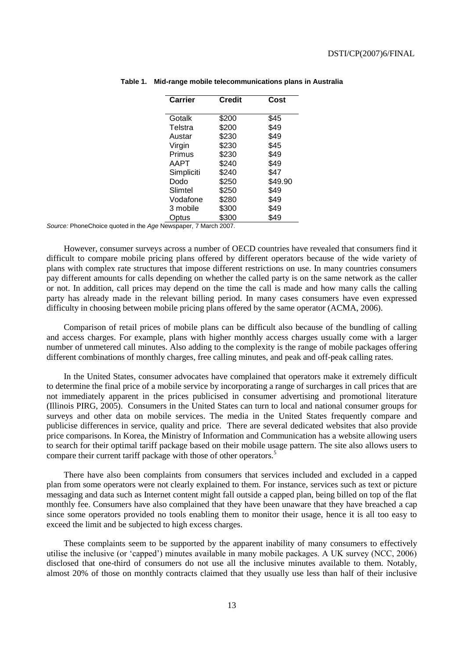| Carrier       | <b>Credit</b>        | Cost    |
|---------------|----------------------|---------|
| Gotalk        | \$200                | \$45    |
| Telstra       | \$200                | \$49    |
| Austar        | \$230                | \$49    |
| Virgin        | \$230                | \$45    |
| Primus        | \$230                | \$49    |
| AAPT          | \$240                | \$49    |
| Simpliciti    | \$240                | \$47    |
| Dodo          | \$250                | \$49.90 |
| Slimtel       | \$250                | \$49    |
| Vodafone      | \$280                | \$49    |
| 3 mobile      | \$300                | \$49    |
| Optus         | \$300                | \$49    |
| $\rightarrow$ | ъ.<br>$\sim\sim\sim$ |         |

**Table 1. Mid-range mobile telecommunications plans in Australia**

*Source:* PhoneChoice quoted in the *Age* Newspaper, 7 March 2007.

However, consumer surveys across a number of OECD countries have revealed that consumers find it difficult to compare mobile pricing plans offered by different operators because of the wide variety of plans with complex rate structures that impose different restrictions on use. In many countries consumers pay different amounts for calls depending on whether the called party is on the same network as the caller or not. In addition, call prices may depend on the time the call is made and how many calls the calling party has already made in the relevant billing period. In many cases consumers have even expressed difficulty in choosing between mobile pricing plans offered by the same operator (ACMA, 2006).

Comparison of retail prices of mobile plans can be difficult also because of the bundling of calling and access charges. For example, plans with higher monthly access charges usually come with a larger number of unmetered call minutes. Also adding to the complexity is the range of mobile packages offering different combinations of monthly charges, free calling minutes, and peak and off-peak calling rates.

In the United States, consumer advocates have complained that operators make it extremely difficult to determine the final price of a mobile service by incorporating a range of surcharges in call prices that are not immediately apparent in the prices publicised in consumer advertising and promotional literature (Illinois PIRG, 2005). Consumers in the United States can turn to local and national consumer groups for surveys and other data on mobile services. The media in the United States frequently compare and publicise differences in service, quality and price. There are several dedicated websites that also provide price comparisons. In Korea, the Ministry of Information and Communication has a website allowing users to search for their optimal tariff package based on their mobile usage pattern. The site also allows users to compare their current tariff package with those of other operators.<sup>5</sup>

There have also been complaints from consumers that services included and excluded in a capped plan from some operators were not clearly explained to them. For instance, services such as text or picture messaging and data such as Internet content might fall outside a capped plan, being billed on top of the flat monthly fee. Consumers have also complained that they have been unaware that they have breached a cap since some operators provided no tools enabling them to monitor their usage, hence it is all too easy to exceed the limit and be subjected to high excess charges.

These complaints seem to be supported by the apparent inability of many consumers to effectively utilise the inclusive (or ‗capped') minutes available in many mobile packages. A UK survey (NCC, 2006) disclosed that one-third of consumers do not use all the inclusive minutes available to them. Notably, almost 20% of those on monthly contracts claimed that they usually use less than half of their inclusive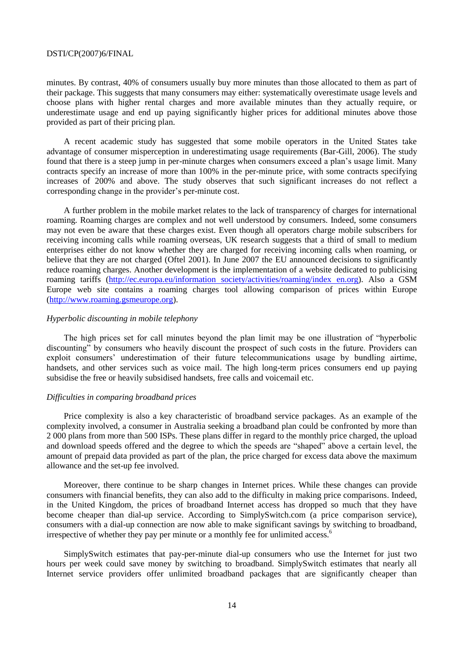minutes. By contrast, 40% of consumers usually buy more minutes than those allocated to them as part of their package. This suggests that many consumers may either: systematically overestimate usage levels and choose plans with higher rental charges and more available minutes than they actually require, or underestimate usage and end up paying significantly higher prices for additional minutes above those provided as part of their pricing plan.

A recent academic study has suggested that some mobile operators in the United States take advantage of consumer misperception in underestimating usage requirements (Bar-Gill, 2006). The study found that there is a steep jump in per-minute charges when consumers exceed a plan's usage limit. Many contracts specify an increase of more than 100% in the per-minute price, with some contracts specifying increases of 200% and above. The study observes that such significant increases do not reflect a corresponding change in the provider's per-minute cost.

A further problem in the mobile market relates to the lack of transparency of charges for international roaming. Roaming charges are complex and not well understood by consumers. Indeed, some consumers may not even be aware that these charges exist. Even though all operators charge mobile subscribers for receiving incoming calls while roaming overseas, UK research suggests that a third of small to medium enterprises either do not know whether they are charged for receiving incoming calls when roaming, or believe that they are not charged (Oftel 2001). In June 2007 the EU announced decisions to significantly reduce roaming charges. Another development is the implementation of a website dedicated to publicising roaming tariffs (http://ec.europa.eu/information [society/activities/roaming/index](http://ec.europa.eu/information_society/activities/roaming/index_en.org) en.org). Also a GSM Europe web site contains a roaming charges tool allowing comparison of prices within Europe [\(http://www.roaming.gsmeurope.org\)](http://www.roaming.gsmeurope.org/).

# *Hyperbolic discounting in mobile telephony*

The high prices set for call minutes beyond the plan limit may be one illustration of "hyperbolic" discounting" by consumers who heavily discount the prospect of such costs in the future. Providers can exploit consumers' underestimation of their future telecommunications usage by bundling airtime, handsets, and other services such as voice mail. The high long-term prices consumers end up paying subsidise the free or heavily subsidised handsets, free calls and voicemail etc.

# *Difficulties in comparing broadband prices*

Price complexity is also a key characteristic of broadband service packages. As an example of the complexity involved, a consumer in Australia seeking a broadband plan could be confronted by more than 2 000 plans from more than 500 ISPs. These plans differ in regard to the monthly price charged, the upload and download speeds offered and the degree to which the speeds are "shaped" above a certain level, the amount of prepaid data provided as part of the plan, the price charged for excess data above the maximum allowance and the set-up fee involved.

Moreover, there continue to be sharp changes in Internet prices. While these changes can provide consumers with financial benefits, they can also add to the difficulty in making price comparisons. Indeed, in the United Kingdom, the prices of broadband Internet access has dropped so much that they have become cheaper than dial-up service. According to SimplySwitch.com (a price comparison service), consumers with a dial-up connection are now able to make significant savings by switching to broadband, irrespective of whether they pay per minute or a monthly fee for unlimited access.<sup>6</sup>

SimplySwitch estimates that pay-per-minute dial-up consumers who use the Internet for just two hours per week could save money by switching to broadband. SimplySwitch estimates that nearly all Internet service providers offer unlimited broadband packages that are significantly cheaper than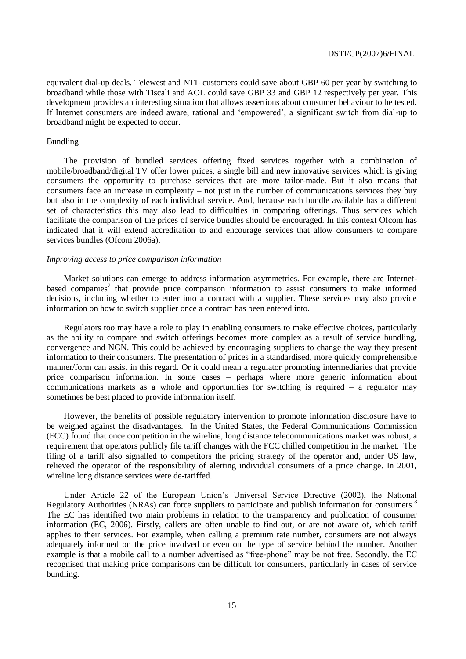equivalent dial-up deals. Telewest and NTL customers could save about GBP 60 per year by switching to broadband while those with Tiscali and AOL could save GBP 33 and GBP 12 respectively per year. This development provides an interesting situation that allows assertions about consumer behaviour to be tested. If Internet consumers are indeed aware, rational and 'empowered', a significant switch from dial-up to broadband might be expected to occur.

# Bundling

The provision of bundled services offering fixed services together with a combination of mobile/broadband/digital TV offer lower prices, a single bill and new innovative services which is giving consumers the opportunity to purchase services that are more tailor-made. But it also means that consumers face an increase in complexity – not just in the number of communications services they buy but also in the complexity of each individual service. And, because each bundle available has a different set of characteristics this may also lead to difficulties in comparing offerings. Thus services which facilitate the comparison of the prices of service bundles should be encouraged. In this context Ofcom has indicated that it will extend accreditation to and encourage services that allow consumers to compare services bundles (Ofcom 2006a).

# *Improving access to price comparison information*

Market solutions can emerge to address information asymmetries. For example, there are Internetbased companies<sup>7</sup> that provide price comparison information to assist consumers to make informed decisions, including whether to enter into a contract with a supplier. These services may also provide information on how to switch supplier once a contract has been entered into.

Regulators too may have a role to play in enabling consumers to make effective choices, particularly as the ability to compare and switch offerings becomes more complex as a result of service bundling, convergence and NGN. This could be achieved by encouraging suppliers to change the way they present information to their consumers. The presentation of prices in a standardised, more quickly comprehensible manner/form can assist in this regard. Or it could mean a regulator promoting intermediaries that provide price comparison information. In some cases – perhaps where more generic information about communications markets as a whole and opportunities for switching is required – a regulator may sometimes be best placed to provide information itself.

However, the benefits of possible regulatory intervention to promote information disclosure have to be weighed against the disadvantages. In the United States, the Federal Communications Commission (FCC) found that once competition in the wireline, long distance telecommunications market was robust, a requirement that operators publicly file tariff changes with the FCC chilled competition in the market. The filing of a tariff also signalled to competitors the pricing strategy of the operator and, under US law, relieved the operator of the responsibility of alerting individual consumers of a price change. In 2001, wireline long distance services were de-tariffed.

Under Article 22 of the European Union's Universal Service Directive (2002), the National Regulatory Authorities (NRAs) can force suppliers to participate and publish information for consumers.<sup>8</sup> The EC has identified two main problems in relation to the transparency and publication of consumer information (EC, 2006). Firstly, callers are often unable to find out, or are not aware of, which tariff applies to their services. For example, when calling a premium rate number, consumers are not always adequately informed on the price involved or even on the type of service behind the number. Another example is that a mobile call to a number advertised as "free-phone" may be not free. Secondly, the EC recognised that making price comparisons can be difficult for consumers, particularly in cases of service bundling.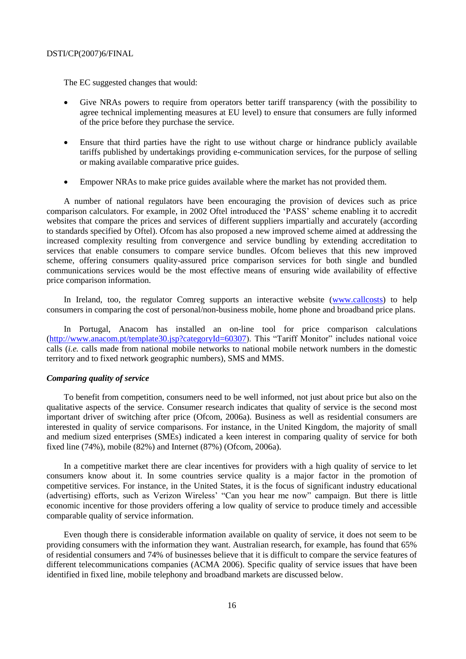The EC suggested changes that would:

- Give NRAs powers to require from operators better tariff transparency (with the possibility to agree technical implementing measures at EU level) to ensure that consumers are fully informed of the price before they purchase the service.
- Ensure that third parties have the right to use without charge or hindrance publicly available tariffs published by undertakings providing e-communication services, for the purpose of selling or making available comparative price guides.
- Empower NRAs to make price guides available where the market has not provided them.

A number of national regulators have been encouraging the provision of devices such as price comparison calculators. For example, in 2002 Oftel introduced the 'PASS' scheme enabling it to accredit websites that compare the prices and services of different suppliers impartially and accurately (according to standards specified by Oftel). Ofcom has also proposed a new improved scheme aimed at addressing the increased complexity resulting from convergence and service bundling by extending accreditation to services that enable consumers to compare service bundles. Ofcom believes that this new improved scheme, offering consumers quality-assured price comparison services for both single and bundled communications services would be the most effective means of ensuring wide availability of effective price comparison information.

In Ireland, too, the regulator Comreg supports an interactive website [\(www.callcosts\)](http://www.callcosts/) to help consumers in comparing the cost of personal/non-business mobile, home phone and broadband price plans.

In Portugal, Anacom has installed an on-line tool for price comparison calculations [\(http://www.anacom.pt/template30.jsp?categoryId=60307\)](http://www.anacom.pt/template30.jsp?categoryId=60307). This "Tariff Monitor" includes national voice calls (*i.e.* calls made from national mobile networks to national mobile network numbers in the domestic territory and to fixed network geographic numbers), SMS and MMS.

# *Comparing quality of service*

To benefit from competition, consumers need to be well informed, not just about price but also on the qualitative aspects of the service. Consumer research indicates that quality of service is the second most important driver of switching after price (Ofcom, 2006a). Business as well as residential consumers are interested in quality of service comparisons. For instance, in the United Kingdom, the majority of small and medium sized enterprises (SMEs) indicated a keen interest in comparing quality of service for both fixed line (74%), mobile (82%) and Internet (87%) (Ofcom, 2006a).

In a competitive market there are clear incentives for providers with a high quality of service to let consumers know about it. In some countries service quality is a major factor in the promotion of competitive services. For instance, in the United States, it is the focus of significant industry educational (advertising) efforts, such as Verizon Wireless' "Can you hear me now" campaign. But there is little economic incentive for those providers offering a low quality of service to produce timely and accessible comparable quality of service information.

Even though there is considerable information available on quality of service, it does not seem to be providing consumers with the information they want. Australian research, for example, has found that 65% of residential consumers and 74% of businesses believe that it is difficult to compare the service features of different telecommunications companies (ACMA 2006). Specific quality of service issues that have been identified in fixed line, mobile telephony and broadband markets are discussed below.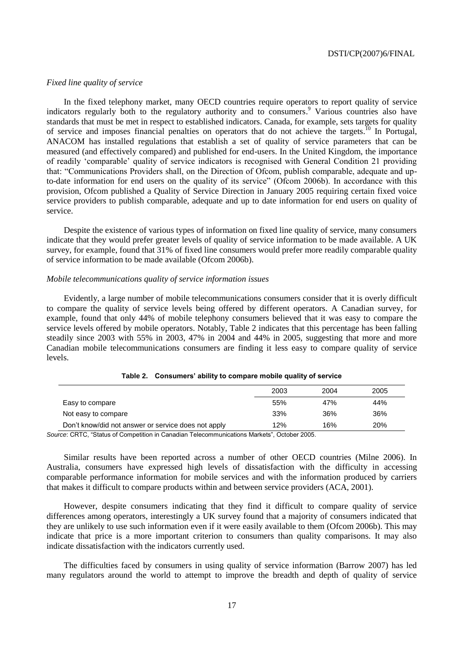# *Fixed line quality of service*

In the fixed telephony market, many OECD countries require operators to report quality of service indicators regularly both to the regulatory authority and to consumers. <sup>9</sup> Various countries also have standards that must be met in respect to established indicators. Canada, for example, sets targets for quality of service and imposes financial penalties on operators that do not achieve the targets.<sup>10</sup> In Portugal, ANACOM has installed regulations that establish a set of quality of service parameters that can be measured (and effectively compared) and published for end-users. In the United Kingdom, the importance of readily ‗comparable' quality of service indicators is recognised with General Condition 21 providing that: ―Communications Providers shall, on the Direction of Ofcom, publish comparable, adequate and upto-date information for end users on the quality of its service" (Ofcom 2006b). In accordance with this provision, Ofcom published a Quality of Service Direction in January 2005 requiring certain fixed voice service providers to publish comparable, adequate and up to date information for end users on quality of service.

Despite the existence of various types of information on fixed line quality of service, many consumers indicate that they would prefer greater levels of quality of service information to be made available. A UK survey, for example, found that 31% of fixed line consumers would prefer more readily comparable quality of service information to be made available (Ofcom 2006b).

# *Mobile telecommunications quality of service information issues*

Evidently, a large number of mobile telecommunications consumers consider that it is overly difficult to compare the quality of service levels being offered by different operators. A Canadian survey, for example, found that only 44% of mobile telephony consumers believed that it was easy to compare the service levels offered by mobile operators. Notably, Table 2 indicates that this percentage has been falling steadily since 2003 with 55% in 2003, 47% in 2004 and 44% in 2005, suggesting that more and more Canadian mobile telecommunications consumers are finding it less easy to compare quality of service levels.

|                                                     | 2003 | 2004 | 2005 |
|-----------------------------------------------------|------|------|------|
| Easy to compare                                     | 55%  | 47%  | 44%  |
| Not easy to compare                                 | 33%  | 36%  | 36%  |
| Don't know/did not answer or service does not apply | 12%  | 16%  | 20%  |

*Source*: CRTC, "Status of Competition in Canadian Telecommunications Markets", October 2005.

Similar results have been reported across a number of other OECD countries (Milne 2006). In Australia, consumers have expressed high levels of dissatisfaction with the difficulty in accessing comparable performance information for mobile services and with the information produced by carriers that makes it difficult to compare products within and between service providers (ACA, 2001).

However, despite consumers indicating that they find it difficult to compare quality of service differences among operators, interestingly a UK survey found that a majority of consumers indicated that they are unlikely to use such information even if it were easily available to them (Ofcom 2006b). This may indicate that price is a more important criterion to consumers than quality comparisons. It may also indicate dissatisfaction with the indicators currently used.

The difficulties faced by consumers in using quality of service information (Barrow 2007) has led many regulators around the world to attempt to improve the breadth and depth of quality of service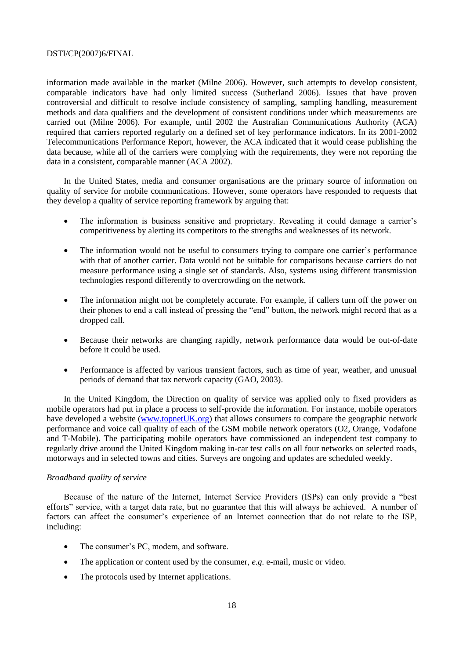information made available in the market (Milne 2006). However, such attempts to develop consistent, comparable indicators have had only limited success (Sutherland 2006). Issues that have proven controversial and difficult to resolve include consistency of sampling, sampling handling, measurement methods and data qualifiers and the development of consistent conditions under which measurements are carried out (Milne 2006). For example, until 2002 the Australian Communications Authority (ACA) required that carriers reported regularly on a defined set of key performance indicators. In its 2001-2002 Telecommunications Performance Report, however, the ACA indicated that it would cease publishing the data because, while all of the carriers were complying with the requirements, they were not reporting the data in a consistent, comparable manner (ACA 2002).

In the United States, media and consumer organisations are the primary source of information on quality of service for mobile communications. However, some operators have responded to requests that they develop a quality of service reporting framework by arguing that:

- The information is business sensitive and proprietary. Revealing it could damage a carrier's competitiveness by alerting its competitors to the strengths and weaknesses of its network.
- The information would not be useful to consumers trying to compare one carrier's performance with that of another carrier. Data would not be suitable for comparisons because carriers do not measure performance using a single set of standards. Also, systems using different transmission technologies respond differently to overcrowding on the network.
- The information might not be completely accurate. For example, if callers turn off the power on their phones to end a call instead of pressing the "end" button, the network might record that as a dropped call.
- Because their networks are changing rapidly, network performance data would be out-of-date before it could be used.
- Performance is affected by various transient factors, such as time of year, weather, and unusual periods of demand that tax network capacity (GAO, 2003).

In the United Kingdom, the Direction on quality of service was applied only to fixed providers as mobile operators had put in place a process to self-provide the information. For instance, mobile operators have developed a website [\(www.topnetUK.org\)](http://www.topnetuk.org/) that allows consumers to compare the geographic network performance and voice call quality of each of the GSM mobile network operators (O2, Orange, Vodafone and T-Mobile). The participating mobile operators have commissioned an independent test company to regularly drive around the United Kingdom making in-car test calls on all four networks on selected roads, motorways and in selected towns and cities. Surveys are ongoing and updates are scheduled weekly.

# *Broadband quality of service*

Because of the nature of the Internet, Internet Service Providers (ISPs) can only provide a "best efforts" service, with a target data rate, but no guarantee that this will always be achieved. A number of factors can affect the consumer's experience of an Internet connection that do not relate to the ISP, including:

- The consumer's PC, modem, and software.
- The application or content used by the consumer, *e.g.* e-mail, music or video.
- The protocols used by Internet applications.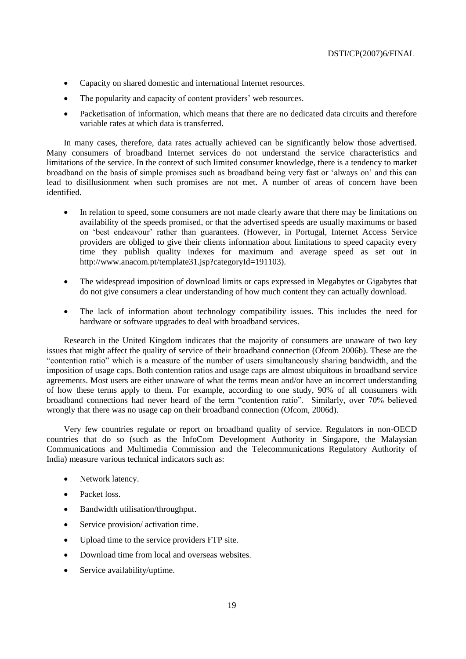- Capacity on shared domestic and international Internet resources.
- The popularity and capacity of content providers' web resources.
- Packetisation of information, which means that there are no dedicated data circuits and therefore variable rates at which data is transferred.

In many cases, therefore, data rates actually achieved can be significantly below those advertised. Many consumers of broadband Internet services do not understand the service characteristics and limitations of the service. In the context of such limited consumer knowledge, there is a tendency to market broadband on the basis of simple promises such as broadband being very fast or 'always on' and this can lead to disillusionment when such promises are not met. A number of areas of concern have been identified.

- In relation to speed, some consumers are not made clearly aware that there may be limitations on availability of the speeds promised, or that the advertised speeds are usually maximums or based on 'best endeavour' rather than guarantees. (However, in Portugal, Internet Access Service providers are obliged to give their clients information about limitations to speed capacity every time they publish quality indexes for maximum and average speed as set out in http://www.anacom.pt/template31.jsp?categoryId=191103).
- The widespread imposition of download limits or caps expressed in Megabytes or Gigabytes that do not give consumers a clear understanding of how much content they can actually download.
- The lack of information about technology compatibility issues. This includes the need for hardware or software upgrades to deal with broadband services.

Research in the United Kingdom indicates that the majority of consumers are unaware of two key issues that might affect the quality of service of their broadband connection (Ofcom 2006b). These are the ―contention ratio‖ which is a measure of the number of users simultaneously sharing bandwidth, and the imposition of usage caps. Both contention ratios and usage caps are almost ubiquitous in broadband service agreements. Most users are either unaware of what the terms mean and/or have an incorrect understanding of how these terms apply to them. For example, according to one study, 90% of all consumers with broadband connections had never heard of the term "contention ratio". Similarly, over 70% believed wrongly that there was no usage cap on their broadband connection (Ofcom, 2006d).

Very few countries regulate or report on broadband quality of service. Regulators in non-OECD countries that do so (such as the InfoCom Development Authority in Singapore, the Malaysian Communications and Multimedia Commission and the Telecommunications Regulatory Authority of India) measure various technical indicators such as:

- Network latency.
- Packet loss.
- Bandwidth utilisation/throughput.
- Service provision/ activation time.
- Upload time to the service providers FTP site.
- Download time from local and overseas websites.
- Service availability/uptime.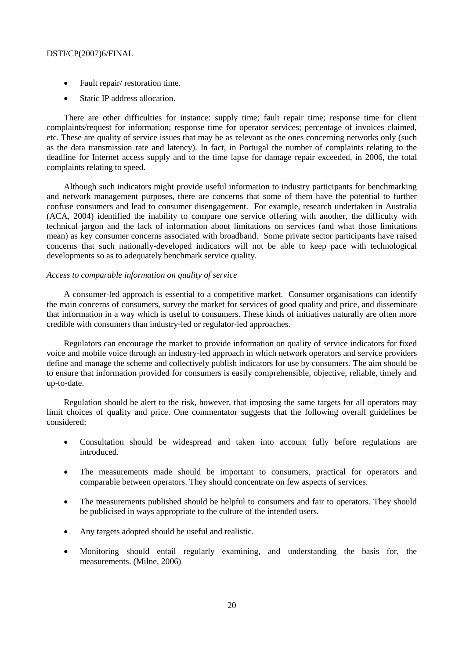- Fault repair/ restoration time.
- Static IP address allocation.

There are other difficulties for instance: supply time; fault repair time; response time for client complaints/request for information; response time for operator services; percentage of invoices claimed, etc. These are quality of service issues that may be as relevant as the ones concerning networks only (such as the data transmission rate and latency). In fact, in Portugal the number of complaints relating to the deadline for Internet access supply and to the time lapse for damage repair exceeded, in 2006, the total complaints relating to speed.

Although such indicators might provide useful information to industry participants for benchmarking and network management purposes, there are concerns that some of them have the potential to further confuse consumers and lead to consumer disengagement. For example, research undertaken in Australia (ACA, 2004) identified the inability to compare one service offering with another, the difficulty with technical jargon and the lack of information about limitations on services (and what those limitations mean) as key consumer concerns associated with broadband. Some private sector participants have raised concerns that such nationally-developed indicators will not be able to keep pace with technological developments so as to adequately benchmark service quality.

# *Access to comparable information on quality of service*

A consumer-led approach is essential to a competitive market. Consumer organisations can identify the main concerns of consumers, survey the market for services of good quality and price, and disseminate that information in a way which is useful to consumers. These kinds of initiatives naturally are often more credible with consumers than industry-led or regulator-led approaches.

Regulators can encourage the market to provide information on quality of service indicators for fixed voice and mobile voice through an industry-led approach in which network operators and service providers define and manage the scheme and collectively publish indicators for use by consumers. The aim should be to ensure that information provided for consumers is easily comprehensible, objective, reliable, timely and up-to-date.

Regulation should be alert to the risk, however, that imposing the same targets for all operators may limit choices of quality and price. One commentator suggests that the following overall guidelines be considered:

- Consultation should be widespread and taken into account fully before regulations are introduced.
- The measurements made should be important to consumers, practical for operators and comparable between operators. They should concentrate on few aspects of services.
- The measurements published should be helpful to consumers and fair to operators. They should be publicised in ways appropriate to the culture of the intended users.
- Any targets adopted should be useful and realistic.
- Monitoring should entail regularly examining, and understanding the basis for, the measurements. (Milne, 2006)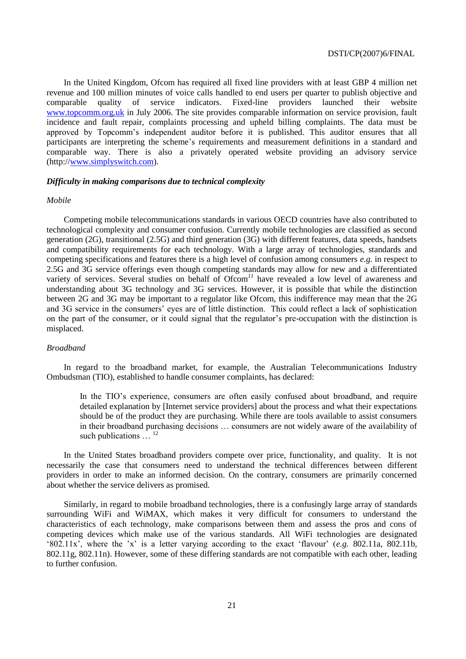In the United Kingdom, Ofcom has required all fixed line providers with at least GBP 4 million net revenue and 100 million minutes of voice calls handled to end users per quarter to publish objective and comparable quality of service indicators. Fixed-line providers launched their website [www.topcomm.org.uk](http://www.topcomm.org.uk/) in July 2006. The site provides comparable information on service provision, fault incidence and fault repair, complaints processing and upheld billing complaints. The data must be approved by Topcomm's independent auditor before it is published. This auditor ensures that all participants are interpreting the scheme's requirements and measurement definitions in a standard and comparable way. There is also a privately operated website providing an advisory service (http:/[/www.simplyswitch.com\)](http://www.simplyswitch.com/).

# *Difficulty in making comparisons due to technical complexity*

### *Mobile*

Competing mobile telecommunications standards in various OECD countries have also contributed to technological complexity and consumer confusion. Currently mobile technologies are classified as second generation (2G), transitional (2.5G) and third generation (3G) with different features, data speeds, handsets and compatibility requirements for each technology. With a large array of technologies, standards and competing specifications and features there is a high level of confusion among consumers *e.g.* in respect to 2.5G and 3G service offerings even though competing standards may allow for new and a differentiated variety of services. Several studies on behalf of Ofcom<sup>11</sup> have revealed a low level of awareness and understanding about 3G technology and 3G services. However, it is possible that while the distinction between 2G and 3G may be important to a regulator like Ofcom, this indifference may mean that the 2G and 3G service in the consumers' eyes are of little distinction. This could reflect a lack of sophistication on the part of the consumer, or it could signal that the regulator's pre-occupation with the distinction is misplaced.

# *Broadband*

In regard to the broadband market, for example, the Australian Telecommunications Industry Ombudsman (TIO), established to handle consumer complaints, has declared:

In the TIO's experience, consumers are often easily confused about broadband, and require detailed explanation by [Internet service providers] about the process and what their expectations should be of the product they are purchasing. While there are tools available to assist consumers in their broadband purchasing decisions … consumers are not widely aware of the availability of such publications  $\frac{12}{12}$ 

In the United States broadband providers compete over price, functionality, and quality. It is not necessarily the case that consumers need to understand the technical differences between different providers in order to make an informed decision. On the contrary, consumers are primarily concerned about whether the service delivers as promised.

Similarly, in regard to mobile broadband technologies, there is a confusingly large array of standards surrounding WiFi and WiMAX, which makes it very difficult for consumers to understand the characteristics of each technology, make comparisons between them and assess the pros and cons of competing devices which make use of the various standards. All WiFi technologies are designated  $^{\circ}802.11x$ ', where the 'x' is a letter varying according to the exact 'flavour' (*e.g.* 802.11a, 802.11b, 802.11g, 802.11n). However, some of these differing standards are not compatible with each other, leading to further confusion.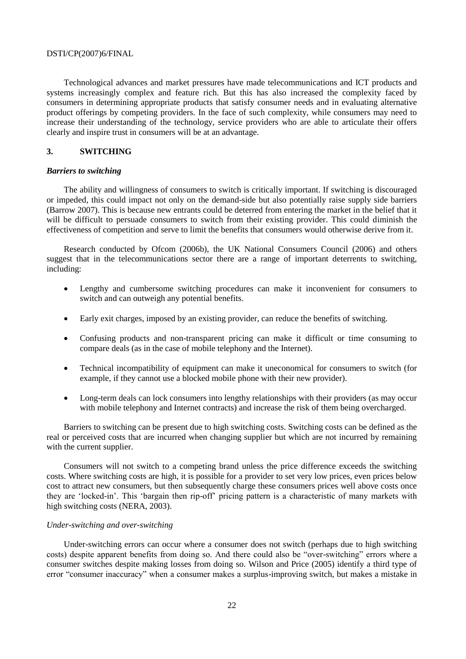Technological advances and market pressures have made telecommunications and ICT products and systems increasingly complex and feature rich. But this has also increased the complexity faced by consumers in determining appropriate products that satisfy consumer needs and in evaluating alternative product offerings by competing providers. In the face of such complexity, while consumers may need to increase their understanding of the technology, service providers who are able to articulate their offers clearly and inspire trust in consumers will be at an advantage.

# **3. SWITCHING**

## *Barriers to switching*

The ability and willingness of consumers to switch is critically important. If switching is discouraged or impeded, this could impact not only on the demand-side but also potentially raise supply side barriers (Barrow 2007). This is because new entrants could be deterred from entering the market in the belief that it will be difficult to persuade consumers to switch from their existing provider. This could diminish the effectiveness of competition and serve to limit the benefits that consumers would otherwise derive from it.

Research conducted by Ofcom (2006b), the UK National Consumers Council (2006) and others suggest that in the telecommunications sector there are a range of important deterrents to switching, including:

- Lengthy and cumbersome switching procedures can make it inconvenient for consumers to switch and can outweigh any potential benefits.
- Early exit charges, imposed by an existing provider, can reduce the benefits of switching.
- Confusing products and non-transparent pricing can make it difficult or time consuming to compare deals (as in the case of mobile telephony and the Internet).
- Technical incompatibility of equipment can make it uneconomical for consumers to switch (for example, if they cannot use a blocked mobile phone with their new provider).
- Long-term deals can lock consumers into lengthy relationships with their providers (as may occur with mobile telephony and Internet contracts) and increase the risk of them being overcharged.

Barriers to switching can be present due to high switching costs. Switching costs can be defined as the real or perceived costs that are incurred when changing supplier but which are not incurred by remaining with the current supplier.

Consumers will not switch to a competing brand unless the price difference exceeds the switching costs. Where switching costs are high, it is possible for a provider to set very low prices, even prices below cost to attract new consumers, but then subsequently charge these consumers prices well above costs once they are ‗locked-in'. This ‗bargain then rip-off' pricing pattern is a characteristic of many markets with high switching costs (NERA, 2003).

# *Under-switching and over-switching*

Under-switching errors can occur where a consumer does not switch (perhaps due to high switching costs) despite apparent benefits from doing so. And there could also be "over-switching" errors where a consumer switches despite making losses from doing so. Wilson and Price (2005) identify a third type of error "consumer inaccuracy" when a consumer makes a surplus-improving switch, but makes a mistake in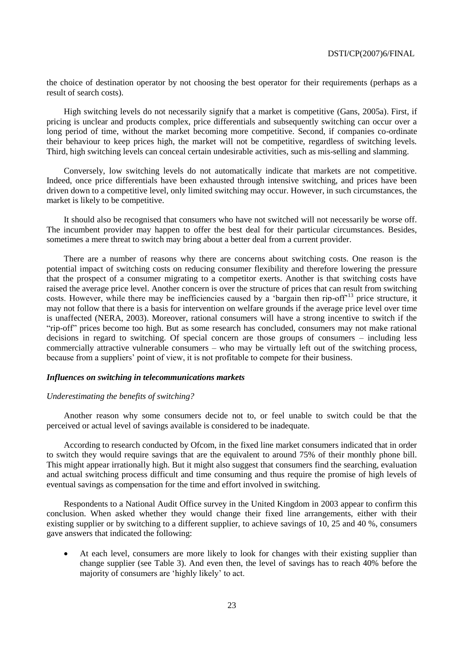the choice of destination operator by not choosing the best operator for their requirements (perhaps as a result of search costs).

High switching levels do not necessarily signify that a market is competitive (Gans, 2005a). First, if pricing is unclear and products complex, price differentials and subsequently switching can occur over a long period of time, without the market becoming more competitive. Second, if companies co-ordinate their behaviour to keep prices high, the market will not be competitive, regardless of switching levels. Third, high switching levels can conceal certain undesirable activities, such as mis-selling and slamming.

Conversely, low switching levels do not automatically indicate that markets are not competitive. Indeed, once price differentials have been exhausted through intensive switching, and prices have been driven down to a competitive level, only limited switching may occur. However, in such circumstances, the market is likely to be competitive.

It should also be recognised that consumers who have not switched will not necessarily be worse off. The incumbent provider may happen to offer the best deal for their particular circumstances. Besides, sometimes a mere threat to switch may bring about a better deal from a current provider.

There are a number of reasons why there are concerns about switching costs. One reason is the potential impact of switching costs on reducing consumer flexibility and therefore lowering the pressure that the prospect of a consumer migrating to a competitor exerts. Another is that switching costs have raised the average price level. Another concern is over the structure of prices that can result from switching costs. However, while there may be inefficiencies caused by a 'bargain then rip-off'<sup>13</sup> price structure, it may not follow that there is a basis for intervention on welfare grounds if the average price level over time is unaffected (NERA, 2003). Moreover, rational consumers will have a strong incentive to switch if the ―rip-off‖ prices become too high. But as some research has concluded, consumers may not make rational decisions in regard to switching. Of special concern are those groups of consumers – including less commercially attractive vulnerable consumers – who may be virtually left out of the switching process, because from a suppliers' point of view, it is not profitable to compete for their business.

## *Influences on switching in telecommunications markets*

#### *Underestimating the benefits of switching?*

Another reason why some consumers decide not to, or feel unable to switch could be that the perceived or actual level of savings available is considered to be inadequate.

According to research conducted by Ofcom, in the fixed line market consumers indicated that in order to switch they would require savings that are the equivalent to around 75% of their monthly phone bill. This might appear irrationally high. But it might also suggest that consumers find the searching, evaluation and actual switching process difficult and time consuming and thus require the promise of high levels of eventual savings as compensation for the time and effort involved in switching.

Respondents to a National Audit Office survey in the United Kingdom in 2003 appear to confirm this conclusion. When asked whether they would change their fixed line arrangements, either with their existing supplier or by switching to a different supplier, to achieve savings of 10, 25 and 40 %, consumers gave answers that indicated the following:

 At each level, consumers are more likely to look for changes with their existing supplier than change supplier (see Table 3). And even then, the level of savings has to reach 40% before the majority of consumers are 'highly likely' to act.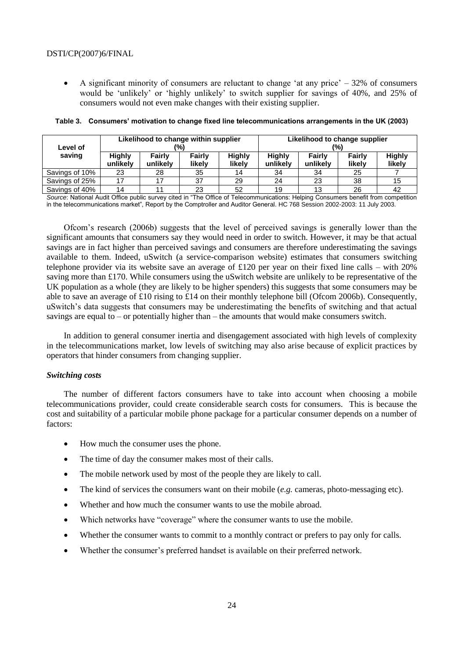A significant minority of consumers are reluctant to change 'at any price'  $-32\%$  of consumers would be 'unlikely' or 'highly unlikely' to switch supplier for savings of 40%, and 25% of consumers would not even make changes with their existing supplier.

|                    |          | Likelihood to change within supplier |               |        | Likelihood to change supplier                             |          |        |        |
|--------------------|----------|--------------------------------------|---------------|--------|-----------------------------------------------------------|----------|--------|--------|
| Level of<br>saving | Highly   | Fairly                               | '%)<br>Fairly | Highly | (%)<br><b>Highly</b><br><b>Highly</b><br>Fairly<br>Fairly |          |        |        |
|                    | unlikely | unlikely                             | likely        | likely | unlikely                                                  | unlikely | likely | likely |
| Savings of 10%     | 23       | 28                                   | 35            | 14     | 34                                                        | 34       | 25     |        |
| Savings of 25%     |          |                                      | 37            | 29     | 24                                                        | 23       | 38     | 15     |
| Savings of 40%     | 14       |                                      | 23            | 52     | 19                                                        | 13       | 26     | 42     |

#### **Table 3. Consumers' motivation to change fixed line telecommunications arrangements in the UK (2003)**

*Source*: National Audit Office public survey cited in "The Office of Telecommunications: Helping Consumers benefit from competition in the telecommunications market", Report by the Comptroller and Auditor General. HC 768 Session 2002-2003: 11 July 2003.

Ofcom's research (2006b) suggests that the level of perceived savings is generally lower than the significant amounts that consumers say they would need in order to switch. However, it may be that actual savings are in fact higher than perceived savings and consumers are therefore underestimating the savings available to them. Indeed, uSwitch (a service-comparison website) estimates that consumers switching telephone provider via its website save an average of £120 per year on their fixed line calls – with 20% saving more than £170. While consumers using the uSwitch website are unlikely to be representative of the UK population as a whole (they are likely to be higher spenders) this suggests that some consumers may be able to save an average of £10 rising to £14 on their monthly telephone bill (Ofcom 2006b). Consequently, uSwitch's data suggests that consumers may be underestimating the benefits of switching and that actual savings are equal to – or potentially higher than – the amounts that would make consumers switch.

In addition to general consumer inertia and disengagement associated with high levels of complexity in the telecommunications market, low levels of switching may also arise because of explicit practices by operators that hinder consumers from changing supplier.

# *Switching costs*

The number of different factors consumers have to take into account when choosing a mobile telecommunications provider, could create considerable search costs for consumers. This is because the cost and suitability of a particular mobile phone package for a particular consumer depends on a number of factors:

- How much the consumer uses the phone.
- The time of day the consumer makes most of their calls.
- The mobile network used by most of the people they are likely to call.
- The kind of services the consumers want on their mobile (*e.g.* cameras, photo-messaging etc).
- Whether and how much the consumer wants to use the mobile abroad.
- Which networks have "coverage" where the consumer wants to use the mobile.
- Whether the consumer wants to commit to a monthly contract or prefers to pay only for calls.
- Whether the consumer's preferred handset is available on their preferred network.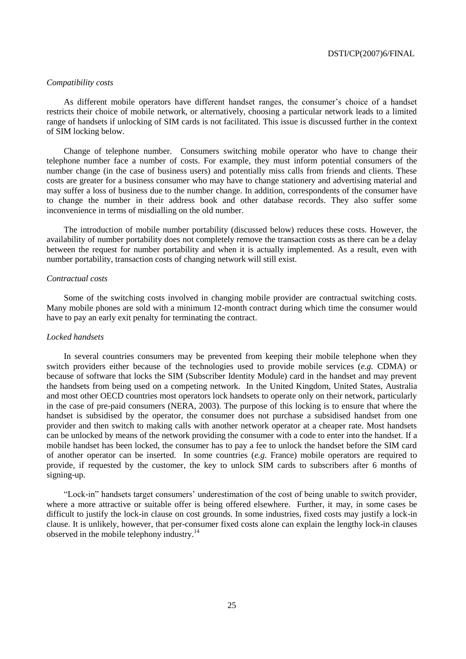# *Compatibility costs*

As different mobile operators have different handset ranges, the consumer's choice of a handset restricts their choice of mobile network, or alternatively, choosing a particular network leads to a limited range of handsets if unlocking of SIM cards is not facilitated. This issue is discussed further in the context of SIM locking below.

Change of telephone number. Consumers switching mobile operator who have to change their telephone number face a number of costs. For example, they must inform potential consumers of the number change (in the case of business users) and potentially miss calls from friends and clients. These costs are greater for a business consumer who may have to change stationery and advertising material and may suffer a loss of business due to the number change. In addition, correspondents of the consumer have to change the number in their address book and other database records. They also suffer some inconvenience in terms of misdialling on the old number.

The introduction of mobile number portability (discussed below) reduces these costs. However, the availability of number portability does not completely remove the transaction costs as there can be a delay between the request for number portability and when it is actually implemented. As a result, even with number portability, transaction costs of changing network will still exist.

## *Contractual costs*

Some of the switching costs involved in changing mobile provider are contractual switching costs. Many mobile phones are sold with a minimum 12-month contract during which time the consumer would have to pay an early exit penalty for terminating the contract.

## *Locked handsets*

In several countries consumers may be prevented from keeping their mobile telephone when they switch providers either because of the technologies used to provide mobile services (*e.g.* CDMA) or because of software that locks the SIM (Subscriber Identity Module) card in the handset and may prevent the handsets from being used on a competing network. In the United Kingdom, United States, Australia and most other OECD countries most operators lock handsets to operate only on their network, particularly in the case of pre-paid consumers (NERA, 2003). The purpose of this locking is to ensure that where the handset is subsidised by the operator, the consumer does not purchase a subsidised handset from one provider and then switch to making calls with another network operator at a cheaper rate. Most handsets can be unlocked by means of the network providing the consumer with a code to enter into the handset. If a mobile handset has been locked, the consumer has to pay a fee to unlock the handset before the SIM card of another operator can be inserted. In some countries (*e.g.* France) mobile operators are required to provide, if requested by the customer, the key to unlock SIM cards to subscribers after 6 months of signing-up.

―Lock-in‖ handsets target consumers' underestimation of the cost of being unable to switch provider, where a more attractive or suitable offer is being offered elsewhere. Further, it may, in some cases be difficult to justify the lock-in clause on cost grounds. In some industries, fixed costs may justify a lock-in clause. It is unlikely, however, that per-consumer fixed costs alone can explain the lengthy lock-in clauses observed in the mobile telephony industry.<sup>14</sup>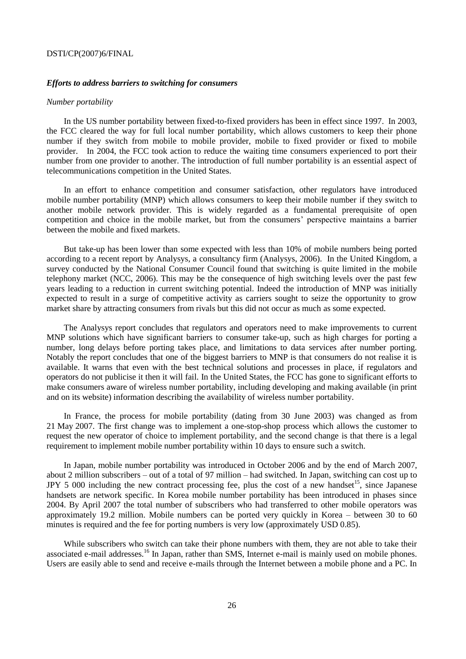## *Efforts to address barriers to switching for consumers*

## *Number portability*

In the US number portability between fixed-to-fixed providers has been in effect since 1997. In 2003, the FCC cleared the way for full local number portability, which allows customers to keep their phone number if they switch from mobile to mobile provider, mobile to fixed provider or fixed to mobile provider. In 2004, the FCC took action to reduce the waiting time consumers experienced to port their number from one provider to another. The introduction of full number portability is an essential aspect of telecommunications competition in the United States.

In an effort to enhance competition and consumer satisfaction, other regulators have introduced mobile number portability (MNP) which allows consumers to keep their mobile number if they switch to another mobile network provider. This is widely regarded as a fundamental prerequisite of open competition and choice in the mobile market, but from the consumers' perspective maintains a barrier between the mobile and fixed markets.

But take-up has been lower than some expected with less than 10% of mobile numbers being ported according to a recent report by Analysys, a consultancy firm (Analysys, 2006). In the United Kingdom, a survey conducted by the National Consumer Council found that switching is quite limited in the mobile telephony market (NCC, 2006). This may be the consequence of high switching levels over the past few years leading to a reduction in current switching potential. Indeed the introduction of MNP was initially expected to result in a surge of competitive activity as carriers sought to seize the opportunity to grow market share by attracting consumers from rivals but this did not occur as much as some expected.

The Analysys report concludes that regulators and operators need to make improvements to current MNP solutions which have significant barriers to consumer take-up, such as high charges for porting a number, long delays before porting takes place, and limitations to data services after number porting. Notably the report concludes that one of the biggest barriers to MNP is that consumers do not realise it is available. It warns that even with the best technical solutions and processes in place, if regulators and operators do not publicise it then it will fail. In the United States, the FCC has gone to significant efforts to make consumers aware of wireless number portability, including developing and making available (in print and on its website) information describing the availability of wireless number portability.

In France, the process for mobile portability (dating from 30 June 2003) was changed as from 21 May 2007. The first change was to implement a one-stop-shop process which allows the customer to request the new operator of choice to implement portability, and the second change is that there is a legal requirement to implement mobile number portability within 10 days to ensure such a switch.

In Japan, mobile number portability was introduced in October 2006 and by the end of March 2007, about 2 million subscribers – out of a total of 97 million – had switched. In Japan, switching can cost up to JPY 5 000 including the new contract processing fee, plus the cost of a new handset<sup>15</sup>, since Japanese handsets are network specific. In Korea mobile number portability has been introduced in phases since 2004. By April 2007 the total number of subscribers who had transferred to other mobile operators was approximately 19.2 million. Mobile numbers can be ported very quickly in Korea – between 30 to 60 minutes is required and the fee for porting numbers is very low (approximately USD 0.85).

While subscribers who switch can take their phone numbers with them, they are not able to take their associated e-mail addresses.<sup>16</sup> In Japan, rather than SMS, Internet e-mail is mainly used on mobile phones. Users are easily able to send and receive e-mails through the Internet between a mobile phone and a PC. In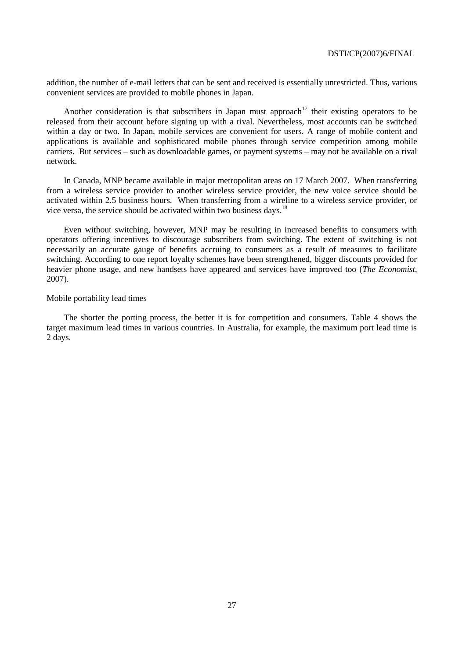addition, the number of e-mail letters that can be sent and received is essentially unrestricted. Thus, various convenient services are provided to mobile phones in Japan.

Another consideration is that subscribers in Japan must approach<sup>17</sup> their existing operators to be released from their account before signing up with a rival. Nevertheless, most accounts can be switched within a day or two. In Japan, mobile services are convenient for users. A range of mobile content and applications is available and sophisticated mobile phones through service competition among mobile carriers. But services – such as downloadable games, or payment systems – may not be available on a rival network.

In Canada, MNP became available in major metropolitan areas on 17 March 2007. When transferring from a wireless service provider to another wireless service provider, the new voice service should be activated within 2.5 business hours. When transferring from a wireline to a wireless service provider, or vice versa, the service should be activated within two business days.<sup>18</sup>

Even without switching, however, MNP may be resulting in increased benefits to consumers with operators offering incentives to discourage subscribers from switching. The extent of switching is not necessarily an accurate gauge of benefits accruing to consumers as a result of measures to facilitate switching. According to one report loyalty schemes have been strengthened, bigger discounts provided for heavier phone usage, and new handsets have appeared and services have improved too (*The Economist*, 2007).

# Mobile portability lead times

The shorter the porting process, the better it is for competition and consumers. Table 4 shows the target maximum lead times in various countries. In Australia, for example, the maximum port lead time is 2 days.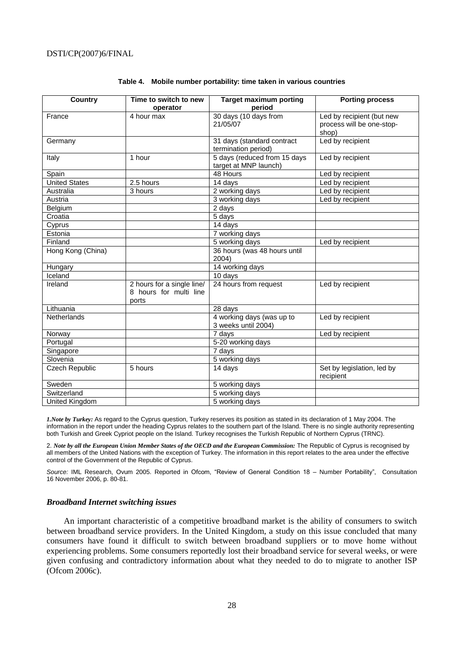| <b>Country</b>        | Time to switch to new      | <b>Target maximum porting</b>                       | <b>Porting process</b>     |
|-----------------------|----------------------------|-----------------------------------------------------|----------------------------|
|                       | operator                   | period                                              |                            |
| France                | 4 hour max                 | 30 days (10 days from                               | Led by recipient (but new  |
|                       |                            | 21/05/07                                            | process will be one-stop-  |
|                       |                            |                                                     | shop)                      |
| Germany               |                            | 31 days (standard contract                          | Led by recipient           |
|                       | 1 hour                     | termination period)<br>5 days (reduced from 15 days | Led by recipient           |
| Italy                 |                            | target at MNP launch)                               |                            |
| Spain                 |                            | 48 Hours                                            | Led by recipient           |
| <b>United States</b>  | 2.5 hours                  | 14 days                                             | Led by recipient           |
| Australia             |                            | 2 working days                                      |                            |
|                       | 3 hours                    | $\overline{3}$ working days                         | Led by recipient           |
| Austria               |                            |                                                     | Led by recipient           |
| Belgium               |                            | 2 days                                              |                            |
| Croatia               |                            | 5 days                                              |                            |
| Cyprus                |                            | 14 days                                             |                            |
| Estonia               |                            | 7 working days                                      |                            |
| Finland               |                            | 5 working days                                      | Led by recipient           |
| Hong Kong (China)     |                            | 36 hours (was 48 hours until                        |                            |
|                       |                            | 2004)                                               |                            |
| Hungary               |                            | 14 working days                                     |                            |
| Iceland               |                            | 10 days                                             |                            |
| Ireland               | 2 hours for a single line/ | 24 hours from request                               | Led by recipient           |
|                       | 8 hours for multi line     |                                                     |                            |
|                       | ports                      |                                                     |                            |
| Lithuania             |                            | 28 days                                             |                            |
| <b>Netherlands</b>    |                            | 4 working days (was up to                           | Led by recipient           |
|                       |                            | 3 weeks until 2004)                                 |                            |
| Norway                |                            | 7 days                                              | Led by recipient           |
| Portugal              |                            | 5-20 working days                                   |                            |
| Singapore             |                            | 7 days                                              |                            |
| Slovenia              |                            | 5 working days                                      |                            |
| <b>Czech Republic</b> | 5 hours                    | 14 days                                             | Set by legislation, led by |
|                       |                            |                                                     | recipient                  |
| Sweden                |                            | 5 working days                                      |                            |
| Switzerland           |                            | 5 working days                                      |                            |
| United Kingdom        |                            | 5 working days                                      |                            |

# **Table 4. Mobile number portability: time taken in various countries**

*1.Note by Turkey:* As regard to the Cyprus question, Turkey reserves its position as stated in its declaration of 1 May 2004. The information in the report under the heading Cyprus relates to the southern part of the Island. There is no single authority representing both Turkish and Greek Cypriot people on the Island. Turkey recognises the Turkish Republic of Northern Cyprus (TRNC).

2. *Note by all the European Union Member States of the OECD and the European Commission:* The Republic of Cyprus is recognised by all members of the United Nations with the exception of Turkey. The information in this report relates to the area under the effective control of the Government of the Republic of Cyprus.

*Source:* IML Research, Ovum 2005. Reported in Ofcom, "Review of General Condition 18 – Number Portability", Consultation 16 November 2006, p. 80-81.

## *Broadband Internet switching issues*

An important characteristic of a competitive broadband market is the ability of consumers to switch between broadband service providers. In the United Kingdom, a study on this issue concluded that many consumers have found it difficult to switch between broadband suppliers or to move home without experiencing problems. Some consumers reportedly lost their broadband service for several weeks, or were given confusing and contradictory information about what they needed to do to migrate to another ISP (Ofcom 2006c).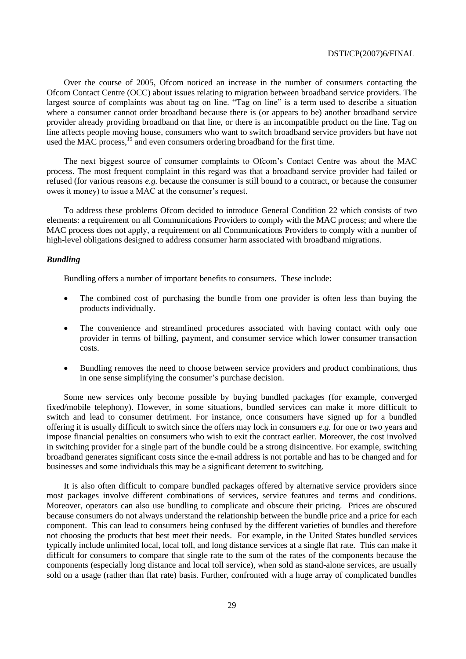Over the course of 2005, Ofcom noticed an increase in the number of consumers contacting the Ofcom Contact Centre (OCC) about issues relating to migration between broadband service providers. The largest source of complaints was about tag on line. "Tag on line" is a term used to describe a situation where a consumer cannot order broadband because there is (or appears to be) another broadband service provider already providing broadband on that line, or there is an incompatible product on the line. Tag on line affects people moving house, consumers who want to switch broadband service providers but have not used the MAC process,  $19$  and even consumers ordering broadband for the first time.

The next biggest source of consumer complaints to Ofcom's Contact Centre was about the MAC process. The most frequent complaint in this regard was that a broadband service provider had failed or refused (for various reasons *e.g.* because the consumer is still bound to a contract, or because the consumer owes it money) to issue a MAC at the consumer's request.

To address these problems Ofcom decided to introduce General Condition 22 which consists of two elements: a requirement on all Communications Providers to comply with the MAC process; and where the MAC process does not apply, a requirement on all Communications Providers to comply with a number of high-level obligations designed to address consumer harm associated with broadband migrations.

# *Bundling*

Bundling offers a number of important benefits to consumers. These include:

- The combined cost of purchasing the bundle from one provider is often less than buying the products individually.
- The convenience and streamlined procedures associated with having contact with only one provider in terms of billing, payment, and consumer service which lower consumer transaction costs.
- Bundling removes the need to choose between service providers and product combinations, thus in one sense simplifying the consumer's purchase decision.

Some new services only become possible by buying bundled packages (for example, converged fixed/mobile telephony). However, in some situations, bundled services can make it more difficult to switch and lead to consumer detriment. For instance, once consumers have signed up for a bundled offering it is usually difficult to switch since the offers may lock in consumers *e.g.* for one or two years and impose financial penalties on consumers who wish to exit the contract earlier. Moreover, the cost involved in switching provider for a single part of the bundle could be a strong disincentive. For example, switching broadband generates significant costs since the e-mail address is not portable and has to be changed and for businesses and some individuals this may be a significant deterrent to switching.

It is also often difficult to compare bundled packages offered by alternative service providers since most packages involve different combinations of services, service features and terms and conditions. Moreover, operators can also use bundling to complicate and obscure their pricing. Prices are obscured because consumers do not always understand the relationship between the bundle price and a price for each component. This can lead to consumers being confused by the different varieties of bundles and therefore not choosing the products that best meet their needs. For example, in the United States bundled services typically include unlimited local, local toll, and long distance services at a single flat rate. This can make it difficult for consumers to compare that single rate to the sum of the rates of the components because the components (especially long distance and local toll service), when sold as stand-alone services, are usually sold on a usage (rather than flat rate) basis. Further, confronted with a huge array of complicated bundles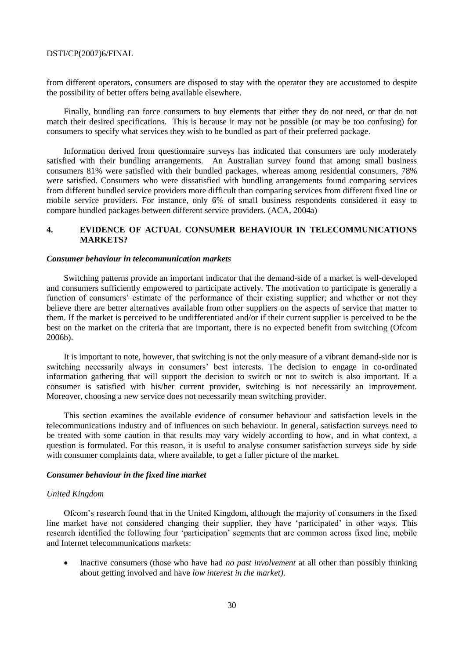from different operators, consumers are disposed to stay with the operator they are accustomed to despite the possibility of better offers being available elsewhere.

Finally, bundling can force consumers to buy elements that either they do not need, or that do not match their desired specifications. This is because it may not be possible (or may be too confusing) for consumers to specify what services they wish to be bundled as part of their preferred package.

Information derived from questionnaire surveys has indicated that consumers are only moderately satisfied with their bundling arrangements. An Australian survey found that among small business consumers 81% were satisfied with their bundled packages, whereas among residential consumers, 78% were satisfied. Consumers who were dissatisfied with bundling arrangements found comparing services from different bundled service providers more difficult than comparing services from different fixed line or mobile service providers. For instance, only 6% of small business respondents considered it easy to compare bundled packages between different service providers. (ACA, 2004a)

# **4. EVIDENCE OF ACTUAL CONSUMER BEHAVIOUR IN TELECOMMUNICATIONS MARKETS?**

## *Consumer behaviour in telecommunication markets*

Switching patterns provide an important indicator that the demand-side of a market is well-developed and consumers sufficiently empowered to participate actively. The motivation to participate is generally a function of consumers' estimate of the performance of their existing supplier; and whether or not they believe there are better alternatives available from other suppliers on the aspects of service that matter to them. If the market is perceived to be undifferentiated and/or if their current supplier is perceived to be the best on the market on the criteria that are important, there is no expected benefit from switching (Ofcom 2006b).

It is important to note, however, that switching is not the only measure of a vibrant demand-side nor is switching necessarily always in consumers' best interests. The decision to engage in co-ordinated information gathering that will support the decision to switch or not to switch is also important. If a consumer is satisfied with his/her current provider, switching is not necessarily an improvement. Moreover, choosing a new service does not necessarily mean switching provider.

This section examines the available evidence of consumer behaviour and satisfaction levels in the telecommunications industry and of influences on such behaviour. In general, satisfaction surveys need to be treated with some caution in that results may vary widely according to how, and in what context, a question is formulated. For this reason, it is useful to analyse consumer satisfaction surveys side by side with consumer complaints data, where available, to get a fuller picture of the market.

# *Consumer behaviour in the fixed line market*

# *United Kingdom*

Ofcom's research found that in the United Kingdom, although the majority of consumers in the fixed line market have not considered changing their supplier, they have 'participated' in other ways. This research identified the following four 'participation' segments that are common across fixed line, mobile and Internet telecommunications markets:

 Inactive consumers (those who have had *no past involvement* at all other than possibly thinking about getting involved and have *low interest in the market)*.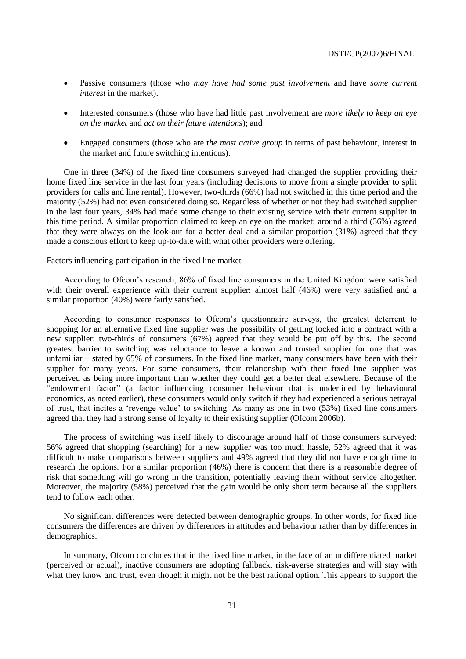- Passive consumers (those who *may have had some past involvement* and have *some current interest* in the market).
- Interested consumers (those who have had little past involvement are *more likely to keep an eye on the market* and *act on their future intentions*); and
- Engaged consumers (those who are t*he most active group* in terms of past behaviour, interest in the market and future switching intentions).

One in three (34%) of the fixed line consumers surveyed had changed the supplier providing their home fixed line service in the last four years (including decisions to move from a single provider to split providers for calls and line rental). However, two-thirds (66%) had not switched in this time period and the majority (52%) had not even considered doing so. Regardless of whether or not they had switched supplier in the last four years, 34% had made some change to their existing service with their current supplier in this time period. A similar proportion claimed to keep an eye on the market: around a third (36%) agreed that they were always on the look-out for a better deal and a similar proportion (31%) agreed that they made a conscious effort to keep up-to-date with what other providers were offering.

# Factors influencing participation in the fixed line market

According to Ofcom's research, 86% of fixed line consumers in the United Kingdom were satisfied with their overall experience with their current supplier: almost half (46%) were very satisfied and a similar proportion (40%) were fairly satisfied.

According to consumer responses to Ofcom's questionnaire surveys, the greatest deterrent to shopping for an alternative fixed line supplier was the possibility of getting locked into a contract with a new supplier: two-thirds of consumers (67%) agreed that they would be put off by this. The second greatest barrier to switching was reluctance to leave a known and trusted supplier for one that was unfamiliar – stated by 65% of consumers. In the fixed line market, many consumers have been with their supplier for many years. For some consumers, their relationship with their fixed line supplier was perceived as being more important than whether they could get a better deal elsewhere. Because of the "endowment factor" (a factor influencing consumer behaviour that is underlined by behavioural economics, as noted earlier), these consumers would only switch if they had experienced a serious betrayal of trust, that incites a 'revenge value' to switching. As many as one in two  $(53%)$  fixed line consumers agreed that they had a strong sense of loyalty to their existing supplier (Ofcom 2006b).

The process of switching was itself likely to discourage around half of those consumers surveyed: 56% agreed that shopping (searching) for a new supplier was too much hassle, 52% agreed that it was difficult to make comparisons between suppliers and 49% agreed that they did not have enough time to research the options. For a similar proportion (46%) there is concern that there is a reasonable degree of risk that something will go wrong in the transition, potentially leaving them without service altogether. Moreover, the majority (58%) perceived that the gain would be only short term because all the suppliers tend to follow each other.

No significant differences were detected between demographic groups. In other words, for fixed line consumers the differences are driven by differences in attitudes and behaviour rather than by differences in demographics.

In summary, Ofcom concludes that in the fixed line market, in the face of an undifferentiated market (perceived or actual), inactive consumers are adopting fallback, risk-averse strategies and will stay with what they know and trust, even though it might not be the best rational option. This appears to support the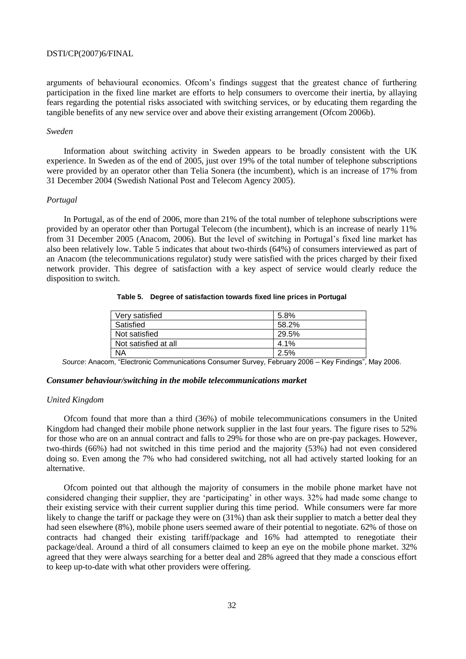arguments of behavioural economics. Ofcom's findings suggest that the greatest chance of furthering participation in the fixed line market are efforts to help consumers to overcome their inertia, by allaying fears regarding the potential risks associated with switching services, or by educating them regarding the tangible benefits of any new service over and above their existing arrangement (Ofcom 2006b).

## *Sweden*

Information about switching activity in Sweden appears to be broadly consistent with the UK experience. In Sweden as of the end of 2005, just over 19% of the total number of telephone subscriptions were provided by an operator other than Telia Sonera (the incumbent), which is an increase of 17% from 31 December 2004 (Swedish National Post and Telecom Agency 2005).

## *Portugal*

In Portugal, as of the end of 2006, more than 21% of the total number of telephone subscriptions were provided by an operator other than Portugal Telecom (the incumbent), which is an increase of nearly 11% from 31 December 2005 (Anacom, 2006). But the level of switching in Portugal's fixed line market has also been relatively low. Table 5 indicates that about two-thirds (64%) of consumers interviewed as part of an Anacom (the telecommunications regulator) study were satisfied with the prices charged by their fixed network provider. This degree of satisfaction with a key aspect of service would clearly reduce the disposition to switch.

# **Table 5. Degree of satisfaction towards fixed line prices in Portugal**

| Very satisfied       | 5.8%  |
|----------------------|-------|
| Satisfied            | 58.2% |
| Not satisfied        | 29.5% |
| Not satisfied at all | 4.1%  |
| <b>NA</b>            | 2.5%  |

*Source*: Anacom, "Electronic Communications Consumer Survey, February 2006 – Key Findings", May 2006.

# *Consumer behaviour/switching in the mobile telecommunications market*

# *United Kingdom*

Ofcom found that more than a third (36%) of mobile telecommunications consumers in the United Kingdom had changed their mobile phone network supplier in the last four years. The figure rises to 52% for those who are on an annual contract and falls to 29% for those who are on pre-pay packages. However, two-thirds (66%) had not switched in this time period and the majority (53%) had not even considered doing so. Even among the 7% who had considered switching, not all had actively started looking for an alternative.

Ofcom pointed out that although the majority of consumers in the mobile phone market have not considered changing their supplier, they are 'participating' in other ways. 32% had made some change to their existing service with their current supplier during this time period. While consumers were far more likely to change the tariff or package they were on  $(31%)$  than ask their supplier to match a better deal they had seen elsewhere (8%), mobile phone users seemed aware of their potential to negotiate. 62% of those on contracts had changed their existing tariff/package and 16% had attempted to renegotiate their package/deal. Around a third of all consumers claimed to keep an eye on the mobile phone market. 32% agreed that they were always searching for a better deal and 28% agreed that they made a conscious effort to keep up-to-date with what other providers were offering.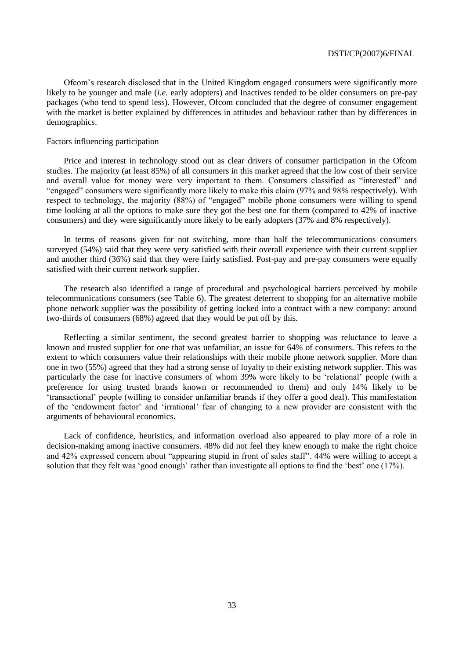Ofcom's research disclosed that in the United Kingdom engaged consumers were significantly more likely to be younger and male (*i.e.* early adopters) and Inactives tended to be older consumers on pre-pay packages (who tend to spend less). However, Ofcom concluded that the degree of consumer engagement with the market is better explained by differences in attitudes and behaviour rather than by differences in demographics.

# Factors influencing participation

Price and interest in technology stood out as clear drivers of consumer participation in the Ofcom studies. The majority (at least 85%) of all consumers in this market agreed that the low cost of their service and overall value for money were very important to them. Consumers classified as "interested" and ―engaged‖ consumers were significantly more likely to make this claim (97% and 98% respectively). With respect to technology, the majority (88%) of "engaged" mobile phone consumers were willing to spend time looking at all the options to make sure they got the best one for them (compared to 42% of inactive consumers) and they were significantly more likely to be early adopters (37% and 8% respectively).

In terms of reasons given for not switching, more than half the telecommunications consumers surveyed (54%) said that they were very satisfied with their overall experience with their current supplier and another third (36%) said that they were fairly satisfied. Post-pay and pre-pay consumers were equally satisfied with their current network supplier.

The research also identified a range of procedural and psychological barriers perceived by mobile telecommunications consumers (see Table 6). The greatest deterrent to shopping for an alternative mobile phone network supplier was the possibility of getting locked into a contract with a new company: around two-thirds of consumers (68%) agreed that they would be put off by this.

Reflecting a similar sentiment, the second greatest barrier to shopping was reluctance to leave a known and trusted supplier for one that was unfamiliar, an issue for 64% of consumers. This refers to the extent to which consumers value their relationships with their mobile phone network supplier. More than one in two (55%) agreed that they had a strong sense of loyalty to their existing network supplier. This was particularly the case for inactive consumers of whom 39% were likely to be 'relational' people (with a preference for using trusted brands known or recommended to them) and only 14% likely to be ‗transactional' people (willing to consider unfamiliar brands if they offer a good deal). This manifestation of the ‗endowment factor' and ‗irrational' fear of changing to a new provider are consistent with the arguments of behavioural economics.

Lack of confidence, heuristics, and information overload also appeared to play more of a role in decision-making among inactive consumers. 48% did not feel they knew enough to make the right choice and 42% expressed concern about "appearing stupid in front of sales staff". 44% were willing to accept a solution that they felt was 'good enough' rather than investigate all options to find the 'best' one (17%).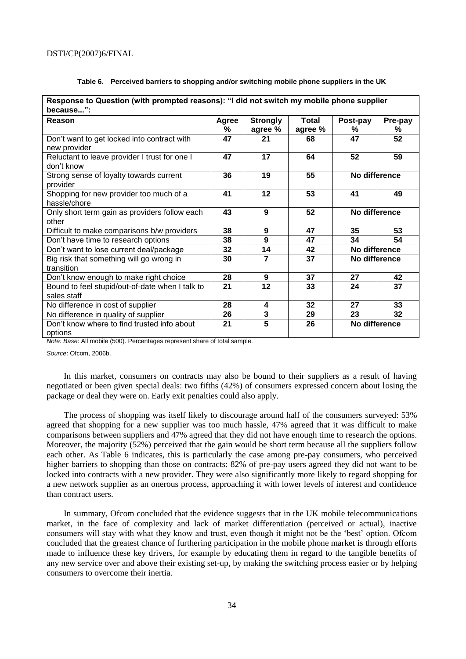| Response to Question (with prompted reasons): "I did not switch my mobile phone supplier |            |                            |                         |               |              |  |  |  |
|------------------------------------------------------------------------------------------|------------|----------------------------|-------------------------|---------------|--------------|--|--|--|
| because":<br>Reason                                                                      | Agree<br>% | <b>Strongly</b><br>agree % | <b>Total</b><br>agree % | Post-pay<br>℅ | Pre-pay<br>℅ |  |  |  |
| Don't want to get locked into contract with<br>new provider                              | 47         | 21                         | 68                      | 47            | 52           |  |  |  |
| Reluctant to leave provider I trust for one I<br>don't know                              | 47         | 17                         | 64                      | 52            | 59           |  |  |  |
| Strong sense of loyalty towards current<br>provider                                      | 36         | 19                         | 55                      | No difference |              |  |  |  |
| Shopping for new provider too much of a<br>hassle/chore                                  | 41         | 12                         | 53                      | 41            | 49           |  |  |  |
| Only short term gain as providers follow each<br>other                                   | 43         | 9                          | 52                      | No difference |              |  |  |  |
| Difficult to make comparisons b/w providers                                              | 38         | $\boldsymbol{9}$           | 47                      | 35            | 53           |  |  |  |
| Don't have time to research options                                                      | 38         | 9                          | 47                      | 34            | 54           |  |  |  |
| Don't want to lose current deal/package                                                  | 32         | 14                         | 42                      | No difference |              |  |  |  |
| Big risk that something will go wrong in<br>transition                                   | 30         | $\overline{7}$             | 37                      | No difference |              |  |  |  |
| Don't know enough to make right choice                                                   | 28         | 9                          | 37                      | 27            | 42           |  |  |  |
| Bound to feel stupid/out-of-date when I talk to<br>sales staff                           | 21         | 12                         | 33                      | 24            | 37           |  |  |  |
| No difference in cost of supplier                                                        | 28         | 4                          | 32                      | 27            | 33           |  |  |  |
| No difference in quality of supplier                                                     | 26         | 3                          | 29                      | 23            | 32           |  |  |  |
| Don't know where to find trusted info about<br>options                                   | 21         | 5                          | 26                      | No difference |              |  |  |  |

# **Table 6. Perceived barriers to shopping and/or switching mobile phone suppliers in the UK**

*Note: Base*: All mobile (500). Percentages represent share of total sample.

*Source*: Ofcom, 2006b.

In this market, consumers on contracts may also be bound to their suppliers as a result of having negotiated or been given special deals: two fifths (42%) of consumers expressed concern about losing the package or deal they were on. Early exit penalties could also apply.

The process of shopping was itself likely to discourage around half of the consumers surveyed: 53% agreed that shopping for a new supplier was too much hassle, 47% agreed that it was difficult to make comparisons between suppliers and 47% agreed that they did not have enough time to research the options. Moreover, the majority (52%) perceived that the gain would be short term because all the suppliers follow each other. As Table 6 indicates, this is particularly the case among pre-pay consumers, who perceived higher barriers to shopping than those on contracts: 82% of pre-pay users agreed they did not want to be locked into contracts with a new provider. They were also significantly more likely to regard shopping for a new network supplier as an onerous process, approaching it with lower levels of interest and confidence than contract users.

In summary, Ofcom concluded that the evidence suggests that in the UK mobile telecommunications market, in the face of complexity and lack of market differentiation (perceived or actual), inactive consumers will stay with what they know and trust, even though it might not be the 'best' option. Of com concluded that the greatest chance of furthering participation in the mobile phone market is through efforts made to influence these key drivers, for example by educating them in regard to the tangible benefits of any new service over and above their existing set-up, by making the switching process easier or by helping consumers to overcome their inertia.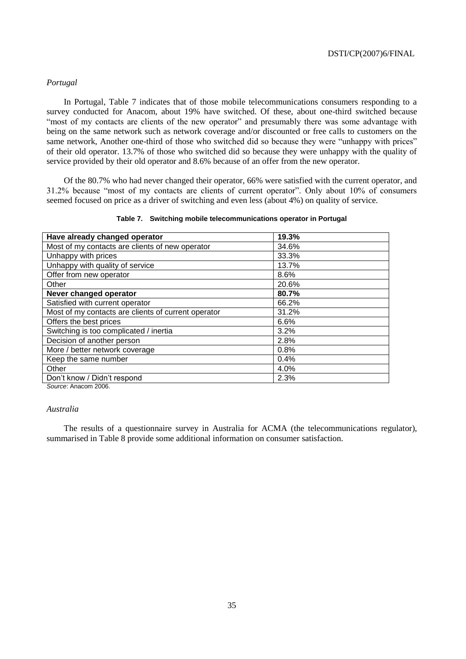# *Portugal*

In Portugal, Table 7 indicates that of those mobile telecommunications consumers responding to a survey conducted for Anacom, about 19% have switched. Of these, about one-third switched because "most of my contacts are clients of the new operator" and presumably there was some advantage with being on the same network such as network coverage and/or discounted or free calls to customers on the same network, Another one-third of those who switched did so because they were "unhappy with prices" of their old operator. 13.7% of those who switched did so because they were unhappy with the quality of service provided by their old operator and 8.6% because of an offer from the new operator.

Of the 80.7% who had never changed their operator, 66% were satisfied with the current operator, and 31.2% because "most of my contacts are clients of current operator". Only about 10% of consumers seemed focused on price as a driver of switching and even less (about 4%) on quality of service.

|  |  | Table 7. Switching mobile telecommunications operator in Portugal |  |
|--|--|-------------------------------------------------------------------|--|
|  |  |                                                                   |  |

| Have already changed operator                       | 19.3% |
|-----------------------------------------------------|-------|
| Most of my contacts are clients of new operator     | 34.6% |
| Unhappy with prices                                 | 33.3% |
| Unhappy with quality of service                     | 13.7% |
| Offer from new operator                             | 8.6%  |
| Other                                               | 20.6% |
| Never changed operator                              | 80.7% |
| Satisfied with current operator                     | 66.2% |
| Most of my contacts are clients of current operator | 31.2% |
| Offers the best prices                              | 6.6%  |
| Switching is too complicated / inertia              | 3.2%  |
| Decision of another person                          | 2.8%  |
| More / better network coverage                      | 0.8%  |
| Keep the same number                                | 0.4%  |
| Other                                               | 4.0%  |
| Don't know / Didn't respond                         | 2.3%  |

*Source*: Anacom 2006.

# *Australia*

The results of a questionnaire survey in Australia for ACMA (the telecommunications regulator), summarised in Table 8 provide some additional information on consumer satisfaction.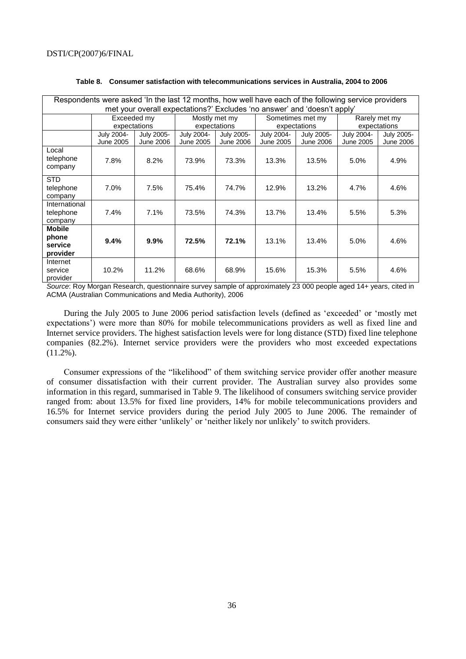| Respondents were asked 'In the last 12 months, how well have each of the following service providers |              |                  |              |                  |            |                                                                          |            |               |  |
|------------------------------------------------------------------------------------------------------|--------------|------------------|--------------|------------------|------------|--------------------------------------------------------------------------|------------|---------------|--|
|                                                                                                      |              |                  |              |                  |            | met your overall expectations?' Excludes 'no answer' and 'doesn't apply' |            |               |  |
|                                                                                                      | Exceeded my  |                  |              | Mostly met my    |            | Sometimes met my                                                         |            | Rarely met my |  |
|                                                                                                      | expectations |                  | expectations |                  |            | expectations                                                             |            | expectations  |  |
|                                                                                                      | July 2004-   | July 2005-       | July 2004-   | July 2005-       | July 2004- | July 2005-                                                               | July 2004- | July 2005-    |  |
|                                                                                                      | June 2005    | <b>June 2006</b> | June 2005    | <b>June 2006</b> | June 2005  | <b>June 2006</b>                                                         | June 2005  | June 2006     |  |
| Local<br>telephone<br>company                                                                        | 7.8%         | 8.2%             | 73.9%        | 73.3%            | 13.3%      | 13.5%                                                                    | 5.0%       | 4.9%          |  |
| <b>STD</b><br>telephone<br>company                                                                   | 7.0%         | 7.5%             | 75.4%        | 74.7%            | 12.9%      | 13.2%                                                                    | $4.7\%$    | 4.6%          |  |
| International<br>telephone<br>company                                                                | 7.4%         | 7.1%             | 73.5%        | 74.3%            | 13.7%      | 13.4%                                                                    | 5.5%       | 5.3%          |  |
| <b>Mobile</b><br>phone<br>service<br>provider                                                        | 9.4%         | 9.9%             | 72.5%        | 72.1%            | 13.1%      | 13.4%                                                                    | 5.0%       | 4.6%          |  |
| Internet<br>service<br>provider                                                                      | 10.2%        | 11.2%            | 68.6%        | 68.9%            | 15.6%      | 15.3%                                                                    | 5.5%       | 4.6%          |  |

# **Table 8. Consumer satisfaction with telecommunications services in Australia, 2004 to 2006**

*Source*: Roy Morgan Research, questionnaire survey sample of approximately 23 000 people aged 14+ years, cited in ACMA (Australian Communications and Media Authority), 2006

During the July 2005 to June 2006 period satisfaction levels (defined as 'exceeded' or 'mostly met expectations') were more than 80% for mobile telecommunications providers as well as fixed line and Internet service providers. The highest satisfaction levels were for long distance (STD) fixed line telephone companies (82.2%). Internet service providers were the providers who most exceeded expectations (11.2%).

Consumer expressions of the "likelihood" of them switching service provider offer another measure of consumer dissatisfaction with their current provider. The Australian survey also provides some information in this regard, summarised in Table 9. The likelihood of consumers switching service provider ranged from: about 13.5% for fixed line providers, 14% for mobile telecommunications providers and 16.5% for Internet service providers during the period July 2005 to June 2006. The remainder of consumers said they were either 'unlikely' or 'neither likely nor unlikely' to switch providers.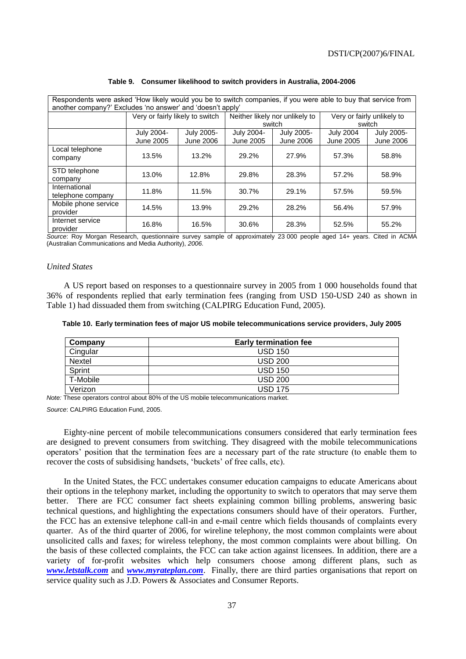| Respondents were asked 'How likely would you be to switch companies, if you were able to buy that service from<br>another company?' Excludes 'no answer' and 'doesn't apply' |                                 |                  |            |                                                              |                  |                  |  |  |  |
|------------------------------------------------------------------------------------------------------------------------------------------------------------------------------|---------------------------------|------------------|------------|--------------------------------------------------------------|------------------|------------------|--|--|--|
|                                                                                                                                                                              | Very or fairly likely to switch |                  |            | Neither likely nor unlikely to<br>Very or fairly unlikely to |                  |                  |  |  |  |
|                                                                                                                                                                              |                                 |                  | switch     |                                                              |                  | switch           |  |  |  |
|                                                                                                                                                                              | July 2004-                      | July 2005-       | July 2004- | July 2005-                                                   | <b>July 2004</b> | July 2005-       |  |  |  |
|                                                                                                                                                                              | June 2005                       | <b>June 2006</b> | June 2005  | <b>June 2006</b>                                             | June 2005        | <b>June 2006</b> |  |  |  |
| Local telephone<br>company                                                                                                                                                   | 13.5%                           | 13.2%            | 29.2%      | 27.9%                                                        | 57.3%            | 58.8%            |  |  |  |
| STD telephone<br>company                                                                                                                                                     | 13.0%                           | 12.8%            | 29.8%      | 28.3%                                                        | 57.2%            | 58.9%            |  |  |  |
| International<br>telephone company                                                                                                                                           | 11.8%                           | 11.5%            | 30.7%      | 29.1%                                                        | 57.5%            | 59.5%            |  |  |  |
| Mobile phone service<br>provider                                                                                                                                             | 14.5%                           | 13.9%            | 29.2%      | 28.2%                                                        | 56.4%            | 57.9%            |  |  |  |
| Internet service<br>provider                                                                                                                                                 | 16.8%                           | 16.5%            | 30.6%      | 28.3%                                                        | 52.5%            | 55.2%            |  |  |  |

| Table 9. Consumer likelihood to switch providers in Australia, 2004-2006 |  |  |  |  |  |  |  |
|--------------------------------------------------------------------------|--|--|--|--|--|--|--|
|--------------------------------------------------------------------------|--|--|--|--|--|--|--|

*Source*: Roy Morgan Research, questionnaire survey sample of approximately 23 000 people aged 14+ years. Cited in ACMA (Australian Communications and Media Authority), *2006.*

# *United States*

A US report based on responses to a questionnaire survey in 2005 from 1 000 households found that 36% of respondents replied that early termination fees (ranging from USD 150-USD 240 as shown in Table 1) had dissuaded them from switching (CALPIRG Education Fund, 2005).

| Table 10. Early termination fees of major US mobile telecommunications service providers, July 2005 |  |  |  |  |
|-----------------------------------------------------------------------------------------------------|--|--|--|--|
|-----------------------------------------------------------------------------------------------------|--|--|--|--|

| Company  | <b>Early termination fee</b> |
|----------|------------------------------|
| Cingular | <b>USD 150</b>               |
| Nextel   | <b>USD 200</b>               |
| Sprint   | <b>USD 150</b>               |
| T-Mobile | <b>USD 200</b>               |
| Verizon  | <b>USD 175</b>               |

*Note:* These operators control about 80% of the US mobile telecommunications market.

*Source*: CALPIRG Education Fund, 2005.

Eighty-nine percent of mobile telecommunications consumers considered that early termination fees are designed to prevent consumers from switching. They disagreed with the mobile telecommunications operators' position that the termination fees are a necessary part of the rate structure (to enable them to recover the costs of subsidising handsets, 'buckets' of free calls, etc).

In the United States, the FCC undertakes consumer education campaigns to educate Americans about their options in the telephony market, including the opportunity to switch to operators that may serve them better. There are FCC consumer fact sheets explaining common billing problems, answering basic technical questions, and highlighting the expectations consumers should have of their operators. Further, the FCC has an extensive telephone call-in and e-mail centre which fields thousands of complaints every quarter. As of the third quarter of 2006, for wireline telephony, the most common complaints were about unsolicited calls and faxes; for wireless telephony, the most common complaints were about billing. On the basis of these collected complaints, the FCC can take action against licensees. In addition, there are a variety of for-profit websites which help consumers choose among different plans, such as *[www.letstalk.com](http://www.letstalk.com/)* and *[www.myrateplan.com](http://www.myrateplan.com/)*. Finally, there are third parties organisations that report on service quality such as J.D. Powers & Associates and Consumer Reports.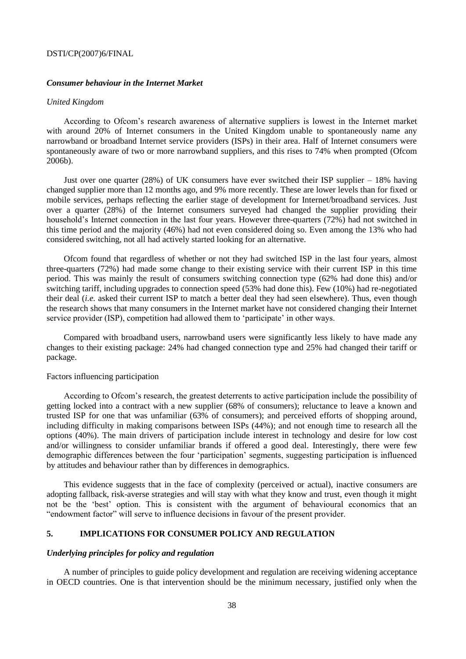# *Consumer behaviour in the Internet Market*

# *United Kingdom*

According to Ofcom's research awareness of alternative suppliers is lowest in the Internet market with around 20% of Internet consumers in the United Kingdom unable to spontaneously name any narrowband or broadband Internet service providers (ISPs) in their area. Half of Internet consumers were spontaneously aware of two or more narrowband suppliers, and this rises to 74% when prompted (Ofcom 2006b).

Just over one quarter (28%) of UK consumers have ever switched their ISP supplier – 18% having changed supplier more than 12 months ago, and 9% more recently. These are lower levels than for fixed or mobile services, perhaps reflecting the earlier stage of development for Internet/broadband services. Just over a quarter (28%) of the Internet consumers surveyed had changed the supplier providing their household's Internet connection in the last four years. However three-quarters (72%) had not switched in this time period and the majority (46%) had not even considered doing so. Even among the 13% who had considered switching, not all had actively started looking for an alternative.

Ofcom found that regardless of whether or not they had switched ISP in the last four years, almost three-quarters (72%) had made some change to their existing service with their current ISP in this time period. This was mainly the result of consumers switching connection type (62% had done this) and/or switching tariff, including upgrades to connection speed (53% had done this). Few (10%) had re-negotiated their deal (*i.e.* asked their current ISP to match a better deal they had seen elsewhere). Thus, even though the research shows that many consumers in the Internet market have not considered changing their Internet service provider (ISP), competition had allowed them to 'participate' in other ways.

Compared with broadband users, narrowband users were significantly less likely to have made any changes to their existing package: 24% had changed connection type and 25% had changed their tariff or package.

## Factors influencing participation

According to Ofcom's research, the greatest deterrents to active participation include the possibility of getting locked into a contract with a new supplier (68% of consumers); reluctance to leave a known and trusted ISP for one that was unfamiliar (63% of consumers); and perceived efforts of shopping around, including difficulty in making comparisons between ISPs (44%); and not enough time to research all the options (40%). The main drivers of participation include interest in technology and desire for low cost and/or willingness to consider unfamiliar brands if offered a good deal. Interestingly, there were few demographic differences between the four 'participation' segments, suggesting participation is influenced by attitudes and behaviour rather than by differences in demographics.

This evidence suggests that in the face of complexity (perceived or actual), inactive consumers are adopting fallback, risk-averse strategies and will stay with what they know and trust, even though it might not be the 'best' option. This is consistent with the argument of behavioural economics that an "endowment factor" will serve to influence decisions in favour of the present provider.

# **5. IMPLICATIONS FOR CONSUMER POLICY AND REGULATION**

## *Underlying principles for policy and regulation*

A number of principles to guide policy development and regulation are receiving widening acceptance in OECD countries. One is that intervention should be the minimum necessary, justified only when the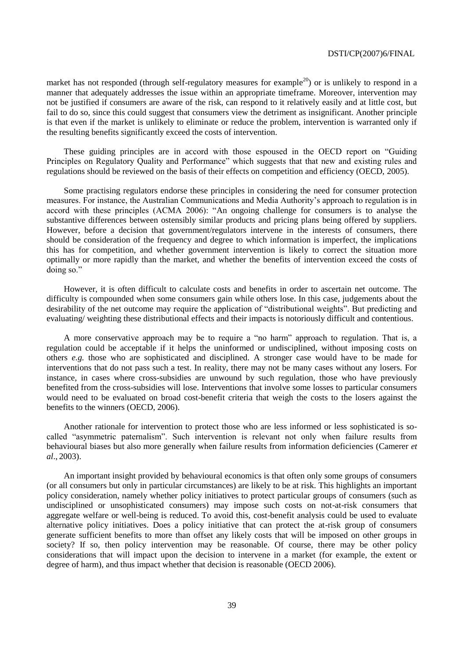market has not responded (through self-regulatory measures for example<sup>20</sup>) or is unlikely to respond in a manner that adequately addresses the issue within an appropriate timeframe. Moreover, intervention may not be justified if consumers are aware of the risk, can respond to it relatively easily and at little cost, but fail to do so, since this could suggest that consumers view the detriment as insignificant. Another principle is that even if the market is unlikely to eliminate or reduce the problem, intervention is warranted only if the resulting benefits significantly exceed the costs of intervention.

These guiding principles are in accord with those espoused in the OECD report on "Guiding" Principles on Regulatory Quality and Performance" which suggests that that new and existing rules and regulations should be reviewed on the basis of their effects on competition and efficiency (OECD, 2005).

Some practising regulators endorse these principles in considering the need for consumer protection measures. For instance, the Australian Communications and Media Authority's approach to regulation is in accord with these principles (ACMA 2006): "An ongoing challenge for consumers is to analyse the substantive differences between ostensibly similar products and pricing plans being offered by suppliers. However, before a decision that government/regulators intervene in the interests of consumers, there should be consideration of the frequency and degree to which information is imperfect, the implications this has for competition, and whether government intervention is likely to correct the situation more optimally or more rapidly than the market, and whether the benefits of intervention exceed the costs of doing so."

However, it is often difficult to calculate costs and benefits in order to ascertain net outcome. The difficulty is compounded when some consumers gain while others lose. In this case, judgements about the desirability of the net outcome may require the application of "distributional weights". But predicting and evaluating/ weighting these distributional effects and their impacts is notoriously difficult and contentious.

A more conservative approach may be to require a "no harm" approach to regulation. That is, a regulation could be acceptable if it helps the uninformed or undisciplined, without imposing costs on others *e.g.* those who are sophisticated and disciplined. A stronger case would have to be made for interventions that do not pass such a test. In reality, there may not be many cases without any losers. For instance, in cases where cross-subsidies are unwound by such regulation, those who have previously benefited from the cross-subsidies will lose. Interventions that involve some losses to particular consumers would need to be evaluated on broad cost-benefit criteria that weigh the costs to the losers against the benefits to the winners (OECD, 2006).

Another rationale for intervention to protect those who are less informed or less sophisticated is socalled "asymmetric paternalism". Such intervention is relevant not only when failure results from behavioural biases but also more generally when failure results from information deficiencies (Camerer *et al*., 2003).

An important insight provided by behavioural economics is that often only some groups of consumers (or all consumers but only in particular circumstances) are likely to be at risk. This highlights an important policy consideration, namely whether policy initiatives to protect particular groups of consumers (such as undisciplined or unsophisticated consumers) may impose such costs on not-at-risk consumers that aggregate welfare or well-being is reduced. To avoid this, cost-benefit analysis could be used to evaluate alternative policy initiatives. Does a policy initiative that can protect the at-risk group of consumers generate sufficient benefits to more than offset any likely costs that will be imposed on other groups in society? If so, then policy intervention may be reasonable. Of course, there may be other policy considerations that will impact upon the decision to intervene in a market (for example, the extent or degree of harm), and thus impact whether that decision is reasonable (OECD 2006).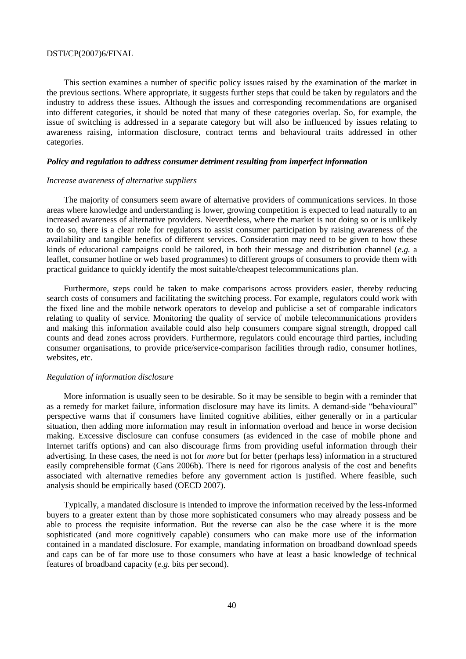This section examines a number of specific policy issues raised by the examination of the market in the previous sections. Where appropriate, it suggests further steps that could be taken by regulators and the industry to address these issues. Although the issues and corresponding recommendations are organised into different categories, it should be noted that many of these categories overlap. So, for example, the issue of switching is addressed in a separate category but will also be influenced by issues relating to awareness raising, information disclosure, contract terms and behavioural traits addressed in other categories.

## *Policy and regulation to address consumer detriment resulting from imperfect information*

## *Increase awareness of alternative suppliers*

The majority of consumers seem aware of alternative providers of communications services. In those areas where knowledge and understanding is lower, growing competition is expected to lead naturally to an increased awareness of alternative providers. Nevertheless, where the market is not doing so or is unlikely to do so, there is a clear role for regulators to assist consumer participation by raising awareness of the availability and tangible benefits of different services. Consideration may need to be given to how these kinds of educational campaigns could be tailored, in both their message and distribution channel (*e.g.* a leaflet, consumer hotline or web based programmes) to different groups of consumers to provide them with practical guidance to quickly identify the most suitable/cheapest telecommunications plan.

Furthermore, steps could be taken to make comparisons across providers easier, thereby reducing search costs of consumers and facilitating the switching process. For example, regulators could work with the fixed line and the mobile network operators to develop and publicise a set of comparable indicators relating to quality of service. Monitoring the quality of service of mobile telecommunications providers and making this information available could also help consumers compare signal strength, dropped call counts and dead zones across providers. Furthermore, regulators could encourage third parties, including consumer organisations, to provide price/service-comparison facilities through radio, consumer hotlines, websites, etc.

#### *Regulation of information disclosure*

More information is usually seen to be desirable. So it may be sensible to begin with a reminder that as a remedy for market failure, information disclosure may have its limits. A demand-side "behavioural" perspective warns that if consumers have limited cognitive abilities, either generally or in a particular situation, then adding more information may result in information overload and hence in worse decision making. Excessive disclosure can confuse consumers (as evidenced in the case of mobile phone and Internet tariffs options) and can also discourage firms from providing useful information through their advertising. In these cases, the need is not for *more* but for better (perhaps less) information in a structured easily comprehensible format (Gans 2006b). There is need for rigorous analysis of the cost and benefits associated with alternative remedies before any government action is justified. Where feasible, such analysis should be empirically based (OECD 2007).

Typically, a mandated disclosure is intended to improve the information received by the less-informed buyers to a greater extent than by those more sophisticated consumers who may already possess and be able to process the requisite information. But the reverse can also be the case where it is the more sophisticated (and more cognitively capable) consumers who can make more use of the information contained in a mandated disclosure. For example, mandating information on broadband download speeds and caps can be of far more use to those consumers who have at least a basic knowledge of technical features of broadband capacity (*e.g.* bits per second).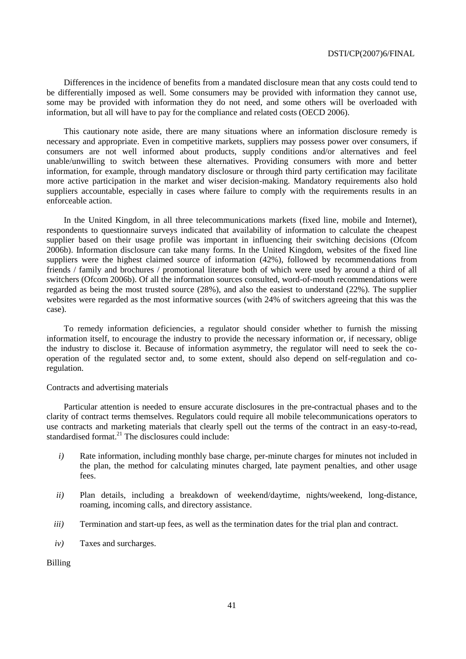Differences in the incidence of benefits from a mandated disclosure mean that any costs could tend to be differentially imposed as well. Some consumers may be provided with information they cannot use, some may be provided with information they do not need, and some others will be overloaded with information, but all will have to pay for the compliance and related costs (OECD 2006).

This cautionary note aside, there are many situations where an information disclosure remedy is necessary and appropriate. Even in competitive markets, suppliers may possess power over consumers, if consumers are not well informed about products, supply conditions and/or alternatives and feel unable/unwilling to switch between these alternatives. Providing consumers with more and better information, for example, through mandatory disclosure or through third party certification may facilitate more active participation in the market and wiser decision-making. Mandatory requirements also hold suppliers accountable, especially in cases where failure to comply with the requirements results in an enforceable action.

In the United Kingdom, in all three telecommunications markets (fixed line, mobile and Internet), respondents to questionnaire surveys indicated that availability of information to calculate the cheapest supplier based on their usage profile was important in influencing their switching decisions (Ofcom 2006b). Information disclosure can take many forms. In the United Kingdom, websites of the fixed line suppliers were the highest claimed source of information (42%), followed by recommendations from friends / family and brochures / promotional literature both of which were used by around a third of all switchers (Ofcom 2006b). Of all the information sources consulted, word-of-mouth recommendations were regarded as being the most trusted source (28%), and also the easiest to understand (22%). The supplier websites were regarded as the most informative sources (with 24% of switchers agreeing that this was the case).

To remedy information deficiencies, a regulator should consider whether to furnish the missing information itself, to encourage the industry to provide the necessary information or, if necessary, oblige the industry to disclose it. Because of information asymmetry, the regulator will need to seek the cooperation of the regulated sector and, to some extent, should also depend on self-regulation and coregulation.

# Contracts and advertising materials

Particular attention is needed to ensure accurate disclosures in the pre-contractual phases and to the clarity of contract terms themselves. Regulators could require all mobile telecommunications operators to use contracts and marketing materials that clearly spell out the terms of the contract in an easy-to-read, standardised format.<sup>21</sup> The disclosures could include:

- *i*) Rate information, including monthly base charge, per-minute charges for minutes not included in the plan, the method for calculating minutes charged, late payment penalties, and other usage fees.
- *ii)* Plan details, including a breakdown of weekend/daytime, nights/weekend, long-distance, roaming, incoming calls, and directory assistance.
- *iii*) Termination and start-up fees, as well as the termination dates for the trial plan and contract.
- *iv)* Taxes and surcharges.

Billing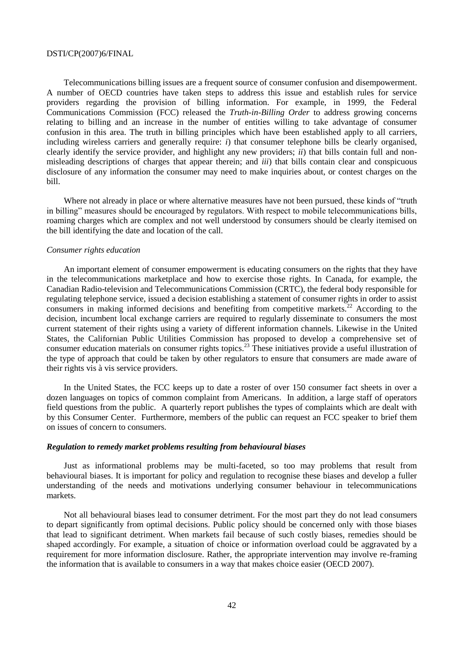Telecommunications billing issues are a frequent source of consumer confusion and disempowerment. A number of OECD countries have taken steps to address this issue and establish rules for service providers regarding the provision of billing information. For example, in 1999, the Federal Communications Commission (FCC) released the *Truth-in-Billing Order* to address growing concerns relating to billing and an increase in the number of entities willing to take advantage of consumer confusion in this area. The truth in billing principles which have been established apply to all carriers, including wireless carriers and generally require: *i*) that consumer telephone bills be clearly organised, clearly identify the service provider, and highlight any new providers; *ii*) that bills contain full and nonmisleading descriptions of charges that appear therein; and *iii*) that bills contain clear and conspicuous disclosure of any information the consumer may need to make inquiries about, or contest charges on the bill.

Where not already in place or where alternative measures have not been pursued, these kinds of "truth" in billing" measures should be encouraged by regulators. With respect to mobile telecommunications bills, roaming charges which are complex and not well understood by consumers should be clearly itemised on the bill identifying the date and location of the call.

#### *Consumer rights education*

An important element of consumer empowerment is educating consumers on the rights that they have in the telecommunications marketplace and how to exercise those rights. In Canada, for example, the Canadian Radio-television and Telecommunications Commission (CRTC), the federal body responsible for regulating telephone service, issued a decision establishing a statement of consumer rights in order to assist consumers in making informed decisions and benefiting from competitive markets.<sup>22</sup> According to the decision, incumbent local exchange carriers are required to regularly disseminate to consumers the most current statement of their rights using a variety of different information channels. Likewise in the United States, the Californian Public Utilities Commission has proposed to develop a comprehensive set of consumer education materials on consumer rights topics.<sup>23</sup> These initiatives provide a useful illustration of the type of approach that could be taken by other regulators to ensure that consumers are made aware of their rights vis à vis service providers.

In the United States, the FCC keeps up to date a roster of over 150 consumer fact sheets in over a dozen languages on topics of common complaint from Americans. In addition, a large staff of operators field questions from the public. A quarterly report publishes the types of complaints which are dealt with by this Consumer Center. Furthermore, members of the public can request an FCC speaker to brief them on issues of concern to consumers.

### *Regulation to remedy market problems resulting from behavioural biases*

Just as informational problems may be multi-faceted, so too may problems that result from behavioural biases. It is important for policy and regulation to recognise these biases and develop a fuller understanding of the needs and motivations underlying consumer behaviour in telecommunications markets.

Not all behavioural biases lead to consumer detriment. For the most part they do not lead consumers to depart significantly from optimal decisions. Public policy should be concerned only with those biases that lead to significant detriment. When markets fail because of such costly biases, remedies should be shaped accordingly. For example, a situation of choice or information overload could be aggravated by a requirement for more information disclosure. Rather, the appropriate intervention may involve re-framing the information that is available to consumers in a way that makes choice easier (OECD 2007).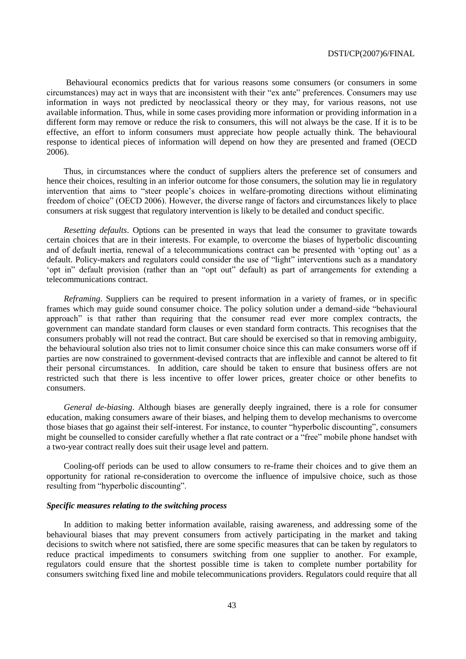Behavioural economics predicts that for various reasons some consumers (or consumers in some circumstances) may act in ways that are inconsistent with their "ex ante" preferences. Consumers may use information in ways not predicted by neoclassical theory or they may, for various reasons, not use available information. Thus, while in some cases providing more information or providing information in a different form may remove or reduce the risk to consumers, this will not always be the case. If it is to be effective, an effort to inform consumers must appreciate how people actually think. The behavioural response to identical pieces of information will depend on how they are presented and framed (OECD 2006).

Thus, in circumstances where the conduct of suppliers alters the preference set of consumers and hence their choices, resulting in an inferior outcome for those consumers, the solution may lie in regulatory intervention that aims to "steer people's choices in welfare-promoting directions without eliminating freedom of choice" (OECD 2006). However, the diverse range of factors and circumstances likely to place consumers at risk suggest that regulatory intervention is likely to be detailed and conduct specific.

*Resetting defaults*. Options can be presented in ways that lead the consumer to gravitate towards certain choices that are in their interests. For example, to overcome the biases of hyperbolic discounting and of default inertia, renewal of a telecommunications contract can be presented with 'opting out' as a default. Policy-makers and regulators could consider the use of "light" interventions such as a mandatory 'opt in'' default provision (rather than an "opt out" default) as part of arrangements for extending a telecommunications contract.

*Reframing*. Suppliers can be required to present information in a variety of frames, or in specific frames which may guide sound consumer choice. The policy solution under a demand-side "behavioural approach" is that rather than requiring that the consumer read ever more complex contracts, the government can mandate standard form clauses or even standard form contracts. This recognises that the consumers probably will not read the contract. But care should be exercised so that in removing ambiguity, the behavioural solution also tries not to limit consumer choice since this can make consumers worse off if parties are now constrained to government-devised contracts that are inflexible and cannot be altered to fit their personal circumstances. In addition, care should be taken to ensure that business offers are not restricted such that there is less incentive to offer lower prices, greater choice or other benefits to consumers.

*General de-biasing*. Although biases are generally deeply ingrained, there is a role for consumer education, making consumers aware of their biases, and helping them to develop mechanisms to overcome those biases that go against their self-interest. For instance, to counter "hyperbolic discounting", consumers might be counselled to consider carefully whether a flat rate contract or a "free" mobile phone handset with a two-year contract really does suit their usage level and pattern.

Cooling-off periods can be used to allow consumers to re-frame their choices and to give them an opportunity for rational re-consideration to overcome the influence of impulsive choice, such as those resulting from "hyperbolic discounting".

# *Specific measures relating to the switching process*

In addition to making better information available, raising awareness, and addressing some of the behavioural biases that may prevent consumers from actively participating in the market and taking decisions to switch where not satisfied, there are some specific measures that can be taken by regulators to reduce practical impediments to consumers switching from one supplier to another. For example, regulators could ensure that the shortest possible time is taken to complete number portability for consumers switching fixed line and mobile telecommunications providers. Regulators could require that all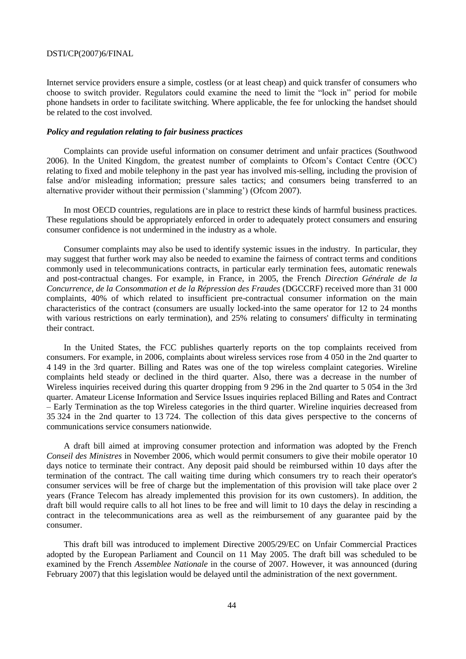Internet service providers ensure a simple, costless (or at least cheap) and quick transfer of consumers who choose to switch provider. Regulators could examine the need to limit the "lock in" period for mobile phone handsets in order to facilitate switching. Where applicable, the fee for unlocking the handset should be related to the cost involved.

# *Policy and regulation relating to fair business practices*

Complaints can provide useful information on consumer detriment and unfair practices (Southwood 2006). In the United Kingdom, the greatest number of complaints to Ofcom's Contact Centre (OCC) relating to fixed and mobile telephony in the past year has involved mis-selling, including the provision of false and/or misleading information; pressure sales tactics; and consumers being transferred to an alternative provider without their permission ('slamming') (Ofcom 2007).

In most OECD countries, regulations are in place to restrict these kinds of harmful business practices. These regulations should be appropriately enforced in order to adequately protect consumers and ensuring consumer confidence is not undermined in the industry as a whole.

Consumer complaints may also be used to identify systemic issues in the industry. In particular, they may suggest that further work may also be needed to examine the fairness of contract terms and conditions commonly used in telecommunications contracts, in particular early termination fees, automatic renewals and post-contractual changes. For example, in France, in 2005, the French *Direction Générale de la Concurrence, de la Consommation et de la Répression des Fraudes* (DGCCRF) received more than 31 000 complaints, 40% of which related to insufficient pre-contractual consumer information on the main characteristics of the contract (consumers are usually locked-into the same operator for 12 to 24 months with various restrictions on early termination), and 25% relating to consumers' difficulty in terminating their contract.

In the United States, the FCC publishes quarterly reports on the top complaints received from consumers. For example, in 2006, complaints about wireless services rose from 4 050 in the 2nd quarter to 4 149 in the 3rd quarter. Billing and Rates was one of the top wireless complaint categories. Wireline complaints held steady or declined in the third quarter. Also, there was a decrease in the number of Wireless inquiries received during this quarter dropping from 9 296 in the 2nd quarter to 5 054 in the 3rd quarter. Amateur License Information and Service Issues inquiries replaced Billing and Rates and Contract – Early Termination as the top Wireless categories in the third quarter. Wireline inquiries decreased from 35 324 in the 2nd quarter to 13 724. The collection of this data gives perspective to the concerns of communications service consumers nationwide.

A draft bill aimed at improving consumer protection and information was adopted by the French *Conseil des Ministres* in November 2006, which would permit consumers to give their mobile operator 10 days notice to terminate their contract. Any deposit paid should be reimbursed within 10 days after the termination of the contract. The call waiting time during which consumers try to reach their operator's consumer services will be free of charge but the implementation of this provision will take place over 2 years (France Telecom has already implemented this provision for its own customers). In addition, the draft bill would require calls to all hot lines to be free and will limit to 10 days the delay in rescinding a contract in the telecommunications area as well as the reimbursement of any guarantee paid by the consumer.

This draft bill was introduced to implement Directive 2005/29/EC on Unfair Commercial Practices adopted by the European Parliament and Council on 11 May 2005. The draft bill was scheduled to be examined by the French *Assemblee Nationale* in the course of 2007. However, it was announced (during February 2007) that this legislation would be delayed until the administration of the next government.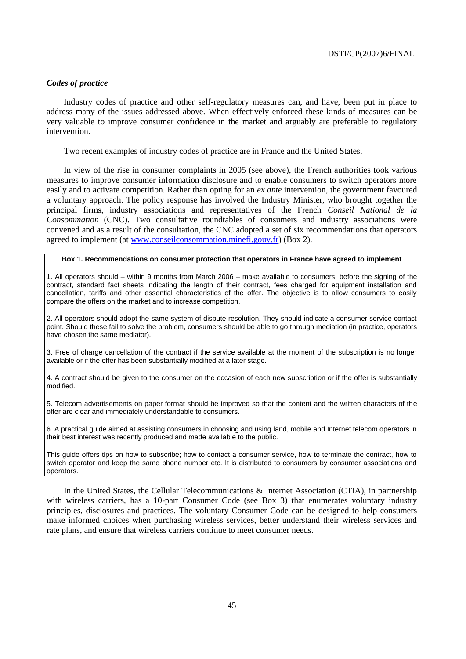# *Codes of practice*

Industry codes of practice and other self-regulatory measures can, and have, been put in place to address many of the issues addressed above. When effectively enforced these kinds of measures can be very valuable to improve consumer confidence in the market and arguably are preferable to regulatory intervention.

Two recent examples of industry codes of practice are in France and the United States.

In view of the rise in consumer complaints in 2005 (see above), the French authorities took various measures to improve consumer information disclosure and to enable consumers to switch operators more easily and to activate competition. Rather than opting for an *ex ante* intervention, the government favoured a voluntary approach. The policy response has involved the Industry Minister, who brought together the principal firms, industry associations and representatives of the French *Conseil National de la Consommation* (CNC). Two consultative roundtables of consumers and industry associations were convened and as a result of the consultation, the CNC adopted a set of six recommendations that operators agreed to implement (at [www.conseilconsommation.minefi.gouv.fr\)](http://www.conseilconsommation.minefi.gouv.fr/) (Box 2).

#### **Box 1. Recommendations on consumer protection that operators in France have agreed to implement**

1. All operators should – within 9 months from March 2006 – make available to consumers, before the signing of the contract, standard fact sheets indicating the length of their contract, fees charged for equipment installation and cancellation, tariffs and other essential characteristics of the offer. The objective is to allow consumers to easily compare the offers on the market and to increase competition.

2. All operators should adopt the same system of dispute resolution. They should indicate a consumer service contact point. Should these fail to solve the problem, consumers should be able to go through mediation (in practice, operators have chosen the same mediator).

3. Free of charge cancellation of the contract if the service available at the moment of the subscription is no longer available or if the offer has been substantially modified at a later stage.

4. A contract should be given to the consumer on the occasion of each new subscription or if the offer is substantially modified.

5. Telecom advertisements on paper format should be improved so that the content and the written characters of the offer are clear and immediately understandable to consumers.

6. A practical guide aimed at assisting consumers in choosing and using land, mobile and Internet telecom operators in their best interest was recently produced and made available to the public.

This guide offers tips on how to subscribe; how to contact a consumer service, how to terminate the contract, how to switch operator and keep the same phone number etc. It is distributed to consumers by consumer associations and operators.

In the United States, the Cellular Telecommunications & Internet Association (CTIA), in partnership with wireless carriers, has a 10-part Consumer Code (see Box 3) that enumerates voluntary industry principles, disclosures and practices. The voluntary Consumer Code can be designed to help consumers make informed choices when purchasing wireless services, better understand their wireless services and rate plans, and ensure that wireless carriers continue to meet consumer needs.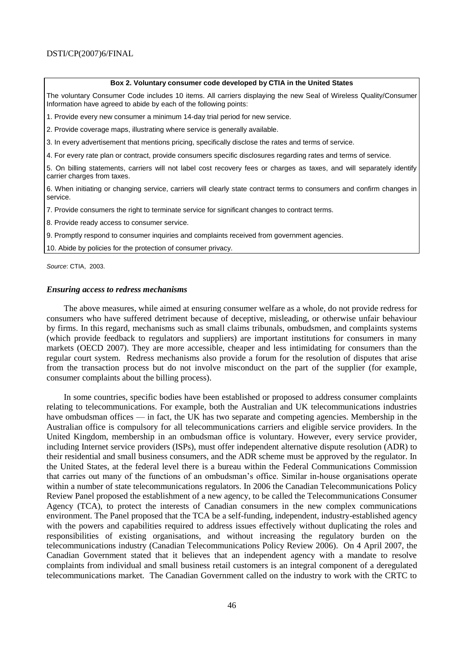#### **Box 2. Voluntary consumer code developed by CTIA in the United States**

The voluntary Consumer Code includes 10 items. All carriers displaying the new Seal of Wireless Quality/Consumer Information have agreed to abide by each of the following points:

1. Provide every new consumer a minimum 14-day trial period for new service.

2. Provide coverage maps, illustrating where service is generally available.

3. In every advertisement that mentions pricing, specifically disclose the rates and terms of service.

4. For every rate plan or contract, provide consumers specific disclosures regarding rates and terms of service.

5. On billing statements, carriers will not label cost recovery fees or charges as taxes, and will separately identify carrier charges from taxes.

6. When initiating or changing service, carriers will clearly state contract terms to consumers and confirm changes in service.

7. Provide consumers the right to terminate service for significant changes to contract terms.

8. Provide ready access to consumer service.

9. Promptly respond to consumer inquiries and complaints received from government agencies.

10. Abide by policies for the protection of consumer privacy.

*Source*: CTIA, 2003.

#### *Ensuring access to redress mechanisms*

The above measures, while aimed at ensuring consumer welfare as a whole, do not provide redress for consumers who have suffered detriment because of deceptive, misleading, or otherwise unfair behaviour by firms. In this regard, mechanisms such as small claims tribunals, ombudsmen, and complaints systems (which provide feedback to regulators and suppliers) are important institutions for consumers in many markets (OECD 2007). They are more accessible, cheaper and less intimidating for consumers than the regular court system. Redress mechanisms also provide a forum for the resolution of disputes that arise from the transaction process but do not involve misconduct on the part of the supplier (for example, consumer complaints about the billing process).

In some countries, specific bodies have been established or proposed to address consumer complaints relating to telecommunications. For example, both the Australian and UK telecommunications industries have ombudsman offices — in fact, the UK has two separate and competing agencies. Membership in the Australian office is compulsory for all telecommunications carriers and eligible service providers. In the United Kingdom, membership in an ombudsman office is voluntary. However, every service provider, including Internet service providers (ISPs), must offer independent alternative dispute resolution (ADR) to their residential and small business consumers, and the ADR scheme must be approved by the regulator. In the United States, at the federal level there is a bureau within the Federal Communications Commission that carries out many of the functions of an ombudsman's office. Similar in-house organisations operate within a number of state telecommunications regulators. In 2006 the Canadian Telecommunications Policy Review Panel proposed the establishment of a new agency, to be called the Telecommunications Consumer Agency (TCA), to protect the interests of Canadian consumers in the new complex communications environment. The Panel proposed that the TCA be a self-funding, independent, industry-established agency with the powers and capabilities required to address issues effectively without duplicating the roles and responsibilities of existing organisations, and without increasing the regulatory burden on the telecommunications industry (Canadian Telecommunications Policy Review 2006). On 4 April 2007, the Canadian Government stated that it believes that an independent agency with a mandate to resolve complaints from individual and small business retail customers is an integral component of a deregulated telecommunications market. The Canadian Government called on the industry to work with the CRTC to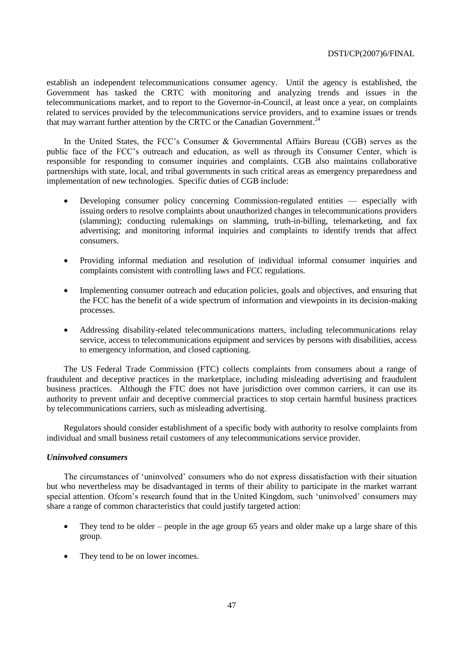establish an independent telecommunications consumer agency. Until the agency is established, the Government has tasked the CRTC with monitoring and analyzing trends and issues in the telecommunications market, and to report to the Governor-in-Council, at least once a year, on complaints related to services provided by the telecommunications service providers, and to examine issues or trends that may warrant further attention by the CRTC or the Canadian Government.<sup>24</sup>

In the United States, the FCC's Consumer & Governmental Affairs Bureau (CGB) serves as the public face of the FCC's outreach and education, as well as through its Consumer Center, which is responsible for responding to consumer inquiries and complaints. CGB also maintains collaborative partnerships with state, local, and tribal governments in such critical areas as emergency preparedness and implementation of new technologies. Specific duties of CGB include:

- Developing consumer policy concerning Commission-regulated entities especially with issuing orders to resolve complaints about unauthorized changes in telecommunications providers (slamming); conducting rulemakings on slamming, truth-in-billing, telemarketing, and fax advertising; and monitoring informal inquiries and complaints to identify trends that affect consumers.
- Providing informal mediation and resolution of individual informal consumer inquiries and complaints consistent with controlling laws and FCC regulations.
- Implementing consumer outreach and education policies, goals and objectives, and ensuring that the FCC has the benefit of a wide spectrum of information and viewpoints in its decision-making processes.
- Addressing disability-related telecommunications matters, including telecommunications relay service, access to telecommunications equipment and services by persons with disabilities, access to emergency information, and closed captioning.

The US Federal Trade Commission (FTC) collects complaints from consumers about a range of fraudulent and deceptive practices in the marketplace, including misleading advertising and fraudulent business practices. Although the FTC does not have jurisdiction over common carriers, it can use its authority to prevent unfair and deceptive commercial practices to stop certain harmful business practices by telecommunications carriers, such as misleading advertising.

Regulators should consider establishment of a specific body with authority to resolve complaints from individual and small business retail customers of any telecommunications service provider.

# *Uninvolved consumers*

The circumstances of ‗uninvolved' consumers who do not express dissatisfaction with their situation but who nevertheless may be disadvantaged in terms of their ability to participate in the market warrant special attention. Of com's research found that in the United Kingdom, such 'uninvolved' consumers may share a range of common characteristics that could justify targeted action:

- They tend to be older people in the age group 65 years and older make up a large share of this group.
- They tend to be on lower incomes.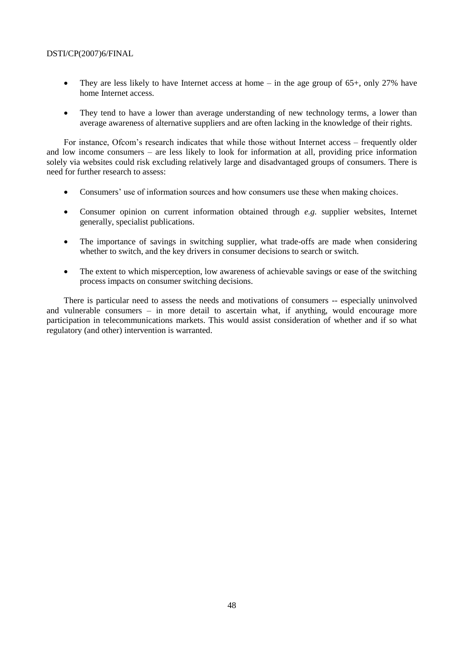- They are less likely to have Internet access at home in the age group of  $65+$ , only 27% have home Internet access.
- They tend to have a lower than average understanding of new technology terms, a lower than average awareness of alternative suppliers and are often lacking in the knowledge of their rights.

For instance, Ofcom's research indicates that while those without Internet access – frequently older and low income consumers – are less likely to look for information at all, providing price information solely via websites could risk excluding relatively large and disadvantaged groups of consumers. There is need for further research to assess:

- Consumers' use of information sources and how consumers use these when making choices.
- Consumer opinion on current information obtained through *e.g.* supplier websites, Internet generally, specialist publications.
- The importance of savings in switching supplier, what trade-offs are made when considering whether to switch, and the key drivers in consumer decisions to search or switch.
- The extent to which misperception, low awareness of achievable savings or ease of the switching process impacts on consumer switching decisions.

There is particular need to assess the needs and motivations of consumers -- especially uninvolved and vulnerable consumers – in more detail to ascertain what, if anything, would encourage more participation in telecommunications markets. This would assist consideration of whether and if so what regulatory (and other) intervention is warranted.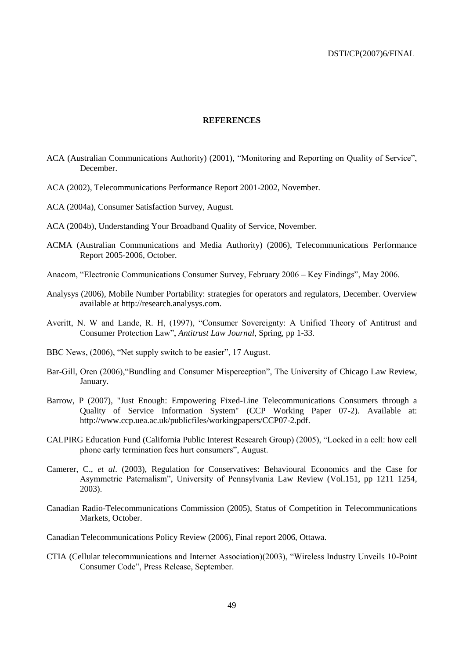## **REFERENCES**

- ACA (Australian Communications Authority) (2001), "Monitoring and Reporting on Quality of Service", December.
- ACA (2002), Telecommunications Performance Report 2001-2002, November.
- ACA (2004a), Consumer Satisfaction Survey, August.
- ACA (2004b), Understanding Your Broadband Quality of Service, November.
- ACMA (Australian Communications and Media Authority) (2006), Telecommunications Performance Report 2005-2006, October.
- Anacom, "Electronic Communications Consumer Survey, February 2006 Key Findings", May 2006.
- Analysys (2006), Mobile Number Portability: strategies for operators and regulators, December. Overview available at [http://research.analysys.com.](http://research.analysys.com/)
- Averitt, N. W and Lande, R. H. (1997), "Consumer Sovereignty: A Unified Theory of Antitrust and Consumer Protection Law‖, *Antitrust Law Journal*, Spring, pp 1-33.
- BBC News, (2006), "Net supply switch to be easier", 17 August.
- Bar-Gill, Oren (2006), "Bundling and Consumer Misperception", The University of Chicago Law Review, January.
- Barrow, P (2007), "Just Enough: Empowering Fixed-Line Telecommunications Consumers through a Quality of Service Information System" (CCP Working Paper 07-2). Available at: http://www.ccp.uea.ac.uk/publicfiles/workingpapers/CCP07-2.pdf.
- CALPIRG Education Fund (California Public Interest Research Group) (2005), "Locked in a cell: how cell phone early termination fees hurt consumers", August.
- Camerer, C., *et al*. (2003), Regulation for Conservatives: Behavioural Economics and the Case for Asymmetric Paternalism", University of Pennsylvania Law Review (Vol.151, pp 1211 1254, 2003).
- Canadian Radio-Telecommunications Commission (2005), Status of Competition in Telecommunications Markets, October.
- Canadian Telecommunications Policy Review (2006), Final report 2006, Ottawa.
- CTIA (Cellular telecommunications and Internet Association)(2003), "Wireless Industry Unveils 10-Point Consumer Code", Press Release, September.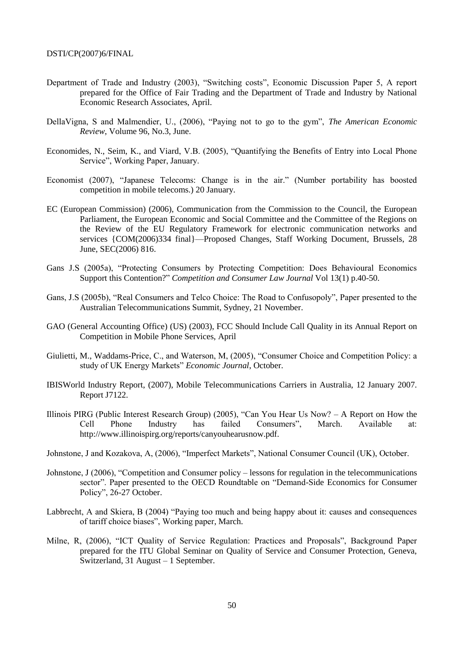- Department of Trade and Industry (2003), "Switching costs", Economic Discussion Paper 5, A report prepared for the Office of Fair Trading and the Department of Trade and Industry by National Economic Research Associates, April.
- DellaVigna, S and Malmendier, U., (2006), "Paying not to go to the gym", *The American Economic Review*, Volume 96, No.3, June.
- Economides, N., Seim, K., and Viard, V.B. (2005), "Quantifying the Benefits of Entry into Local Phone Service", Working Paper, January.
- Economist (2007), "Japanese Telecoms: Change is in the air." (Number portability has boosted competition in mobile telecoms.) 20 January.
- EC (European Commission) (2006), Communication from the Commission to the Council, the European Parliament, the European Economic and Social Committee and the Committee of the Regions on the Review of the EU Regulatory Framework for electronic communication networks and services {COM(2006)334 final}—Proposed Changes, Staff Working Document, Brussels, 28 June, SEC(2006) 816.
- Gans J.S (2005a), "Protecting Consumers by Protecting Competition: Does Behavioural Economics Support this Contention?" *Competition and Consumer Law Journal* Vol 13(1) p.40-50.
- Gans, J.S (2005b), "Real Consumers and Telco Choice: The Road to Confusopoly", Paper presented to the Australian Telecommunications Summit, Sydney, 21 November.
- GAO (General Accounting Office) (US) (2003), FCC Should Include Call Quality in its Annual Report on Competition in Mobile Phone Services, April
- Giulietti, M., Waddams-Price, C., and Waterson, M. (2005), "Consumer Choice and Competition Policy: a study of UK Energy Markets" *Economic Journal*, October.
- IBISWorld Industry Report, (2007), Mobile Telecommunications Carriers in Australia, 12 January 2007. Report J7122.
- Illinois PIRG (Public Interest Research Group) (2005), "Can You Hear Us Now?  $-$  A Report on How the Cell Phone Industry has failed Consumers", March. Available at: http://www.illinoispirg.org/reports/canyouhearusnow.pdf.
- Johnstone, J and Kozakova, A, (2006), "Imperfect Markets", National Consumer Council (UK), October.
- Johnstone, J  $(2006)$ , "Competition and Consumer policy lessons for regulation in the telecommunications sector". Paper presented to the OECD Roundtable on "Demand-Side Economics for Consumer Policy", 26-27 October.
- Labbrecht, A and Skiera, B (2004) "Paying too much and being happy about it: causes and consequences of tariff choice biases", Working paper, March.
- Milne, R, (2006), "ICT Quality of Service Regulation: Practices and Proposals", Background Paper prepared for the ITU Global Seminar on Quality of Service and Consumer Protection, Geneva, Switzerland, 31 August – 1 September.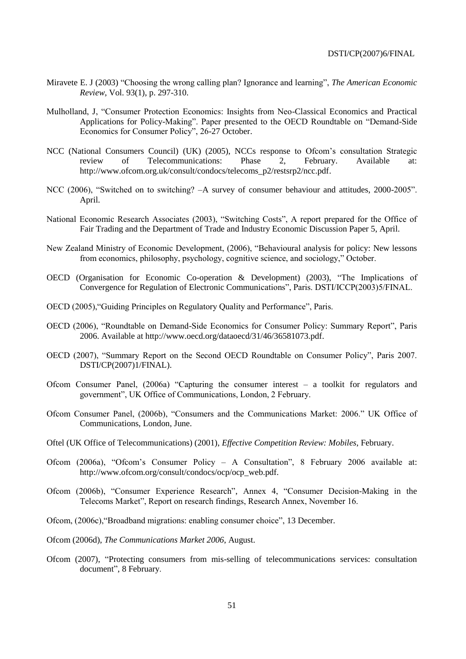- Miravete E. J (2003) "Choosing the wrong calling plan? Ignorance and learning", *The American Economic Review*, Vol. 93(1), p. 297-310.
- Mulholland, J. "Consumer Protection Economics: Insights from Neo-Classical Economics and Practical Applications for Policy-Making". Paper presented to the OECD Roundtable on "Demand-Side" Economics for Consumer Policy", 26-27 October.
- NCC (National Consumers Council) (UK) (2005), NCCs response to Ofcom's consultation Strategic review of Telecommunications: Phase 2, February. Available at: [http://www.ofcom.org.uk/consult/condocs/telecoms\\_p2/restsrp2/ncc.pdf.](http://www.ofcom.org.uk/consult/condocs/telecoms_p2/restsrp2/ncc.pdf)
- NCC (2006), "Switched on to switching?  $-A$  survey of consumer behaviour and attitudes, 2000-2005". April.
- National Economic Research Associates (2003), "Switching Costs", A report prepared for the Office of Fair Trading and the Department of Trade and Industry Economic Discussion Paper 5, April.
- New Zealand Ministry of Economic Development, (2006), "Behavioural analysis for policy: New lessons from economics, philosophy, psychology, cognitive science, and sociology," October.
- OECD (Organisation for Economic Co-operation  $\&$  Development) (2003), "The Implications of Convergence for Regulation of Electronic Communications", Paris. DSTI/ICCP(2003)5/FINAL.
- OECD (2005), "Guiding Principles on Regulatory Quality and Performance", Paris.
- OECD (2006), "Roundtable on Demand-Side Economics for Consumer Policy: Summary Report", Paris 2006. Available at [http://www.oecd.org/dataoecd/31/46/36581073.pdf.](http://www.oecd.org/dataoecd/31/46/36581073.pdf)
- OECD (2007), "Summary Report on the Second OECD Roundtable on Consumer Policy", Paris 2007. DSTI/CP(2007)1/FINAL).
- Ofcom Consumer Panel,  $(2006a)$  "Capturing the consumer interest a toolkit for regulators and government", UK Office of Communications, London, 2 February.
- Ofcom Consumer Panel, (2006b), "Consumers and the Communications Market: 2006." UK Office of Communications, London, June.
- Oftel (UK Office of Telecommunications) (2001), *Effective Competition Review: Mobiles*, February.
- Ofcom (2006a), "Ofcom's Consumer Policy A Consultation", 8 February 2006 available at: [http://www.ofcom.org/consult/condocs/ocp/ocp\\_web.pdf.](http://www.ofcom.org/consult/condocs/ocp/ocp_web.pdf)
- Ofcom (2006b), "Consumer Experience Research", Annex 4, "Consumer Decision-Making in the Telecoms Market", Report on research findings, Research Annex, November 16.
- Ofcom, (2006c), "Broadband migrations: enabling consumer choice", 13 December.
- Ofcom (2006d), *The Communications Market 2006*, August.
- Ofcom (2007), "Protecting consumers from mis-selling of telecommunications services: consultation document", 8 February.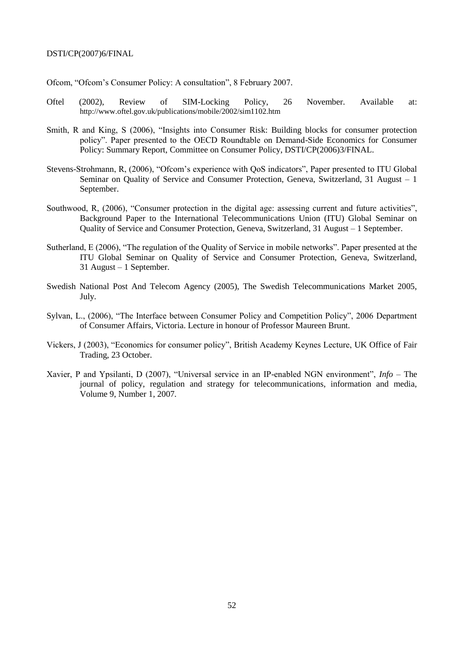Ofcom, "Ofcom's Consumer Policy: A consultation", 8 February 2007.

- Oftel (2002), Review of SIM-Locking Policy, 26 November. Available at: <http://www.oftel.gov.uk/publications/mobile/2002/sim1102.htm>
- Smith, R and King, S (2006), "Insights into Consumer Risk: Building blocks for consumer protection policy‖. Paper presented to the OECD Roundtable on Demand-Side Economics for Consumer Policy: Summary Report, Committee on Consumer Policy, DSTI/CP(2006)3/FINAL.
- Stevens-Strohmann, R, (2006), "Ofcom's experience with OoS indicators". Paper presented to ITU Global Seminar on Quality of Service and Consumer Protection, Geneva, Switzerland, 31 August – 1 September.
- Southwood, R, (2006), "Consumer protection in the digital age: assessing current and future activities", Background Paper to the International Telecommunications Union (ITU) Global Seminar on Quality of Service and Consumer Protection, Geneva, Switzerland, 31 August – 1 September.
- Sutherland, E (2006), "The regulation of the Quality of Service in mobile networks". Paper presented at the ITU Global Seminar on Quality of Service and Consumer Protection, Geneva, Switzerland, 31 August – 1 September.
- Swedish National Post And Telecom Agency (2005), The Swedish Telecommunications Market 2005, July.
- Sylvan, L., (2006), "The Interface between Consumer Policy and Competition Policy", 2006 Department of Consumer Affairs, Victoria. Lecture in honour of Professor Maureen Brunt.
- Vickers, J (2003), "Economics for consumer policy", British Academy Keynes Lecture, UK Office of Fair Trading, 23 October.
- Xavier, P and Ypsilanti, D (2007), "Universal service in an IP-enabled NGN environment", *Info* The journal of policy, regulation and strategy for telecommunications, information and media, Volume 9, Number 1, 2007.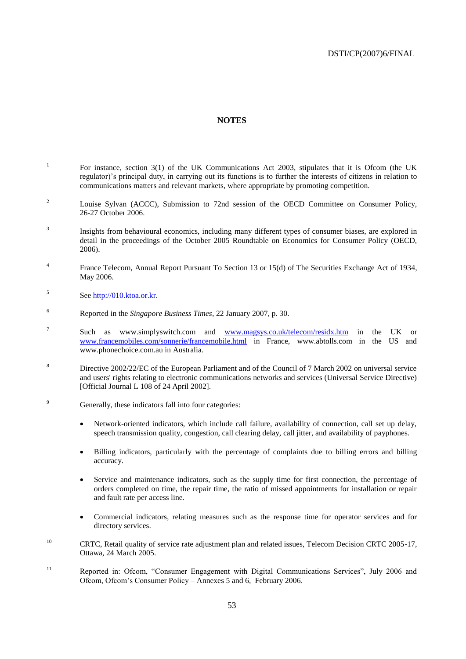# **NOTES**

- 1 For instance, section 3(1) of the UK Communications Act 2003, stipulates that it is Ofcom (the UK regulator)'s principal duty, in carrying out its functions is to further the interests of citizens in relation to communications matters and relevant markets, where appropriate by promoting competition.
- <sup>2</sup> Louise Sylvan (ACCC), Submission to 72nd session of the OECD Committee on Consumer Policy, 26-27 October 2006.
- 3 Insights from behavioural economics, including many different types of consumer biases, are explored in detail in the proceedings of the October 2005 Roundtable on Economics for Consumer Policy (OECD, 2006).
- 4 France Telecom, Annual Report Pursuant To Section 13 or 15(d) of The Securities Exchange Act of 1934, May 2006.
- 5 See [http://010.ktoa.or.kr.](http://010.ktoa.or.kr/)
- <sup>6</sup> Reported in the *Singapore Business Times*, 22 January 2007, p. 30.
- 7 Such as www.simplyswitch.com and [www.magsys.co.uk/telecom/residx.htm](http://www.magsys.co.uk/telecom/residx.htm) in the UK or [www.francemobiles.com/sonnerie/francemobile.html](http://www.francemobiles.com/sonnerie/francemobile.html) in France, www.abtolls.com in the US and www.phonechoice.com.au in Australia.
- <sup>8</sup> Directive [2002/22/EC](http://eur-lex.europa.eu/smartapi/cgi/sga_doc?smartapi%21celexplus%21prod%21DocNumber&lg=en&type_doc=Directive&an_doc=2002&nu_doc=22) of the European Parliament and of the Council of 7 March 2002 on universal service and users' rights relating to electronic communications networks and services (Universal Service Directive) [Official Journal L 108 of 24 April 2002].
- <sup>9</sup> Generally, these indicators fall into four categories:
	- Network-oriented indicators, which include call failure, availability of connection, call set up delay, speech transmission quality, congestion, call clearing delay, call jitter, and availability of payphones.
	- Billing indicators, particularly with the percentage of complaints due to billing errors and billing accuracy.
	- Service and maintenance indicators, such as the supply time for first connection, the percentage of orders completed on time, the repair time, the ratio of missed appointments for installation or repair and fault rate per access line.
	- Commercial indicators, relating measures such as the response time for operator services and for directory services.
- <sup>10</sup> CRTC, Retail quality of service rate adjustment plan and related issues, Telecom Decision CRTC 2005-17, Ottawa, 24 March 2005.
- <sup>11</sup> Reported in: Ofcom, "Consumer Engagement with Digital Communications Services", July 2006 and Ofcom, Ofcom's Consumer Policy – Annexes 5 and 6, February 2006.